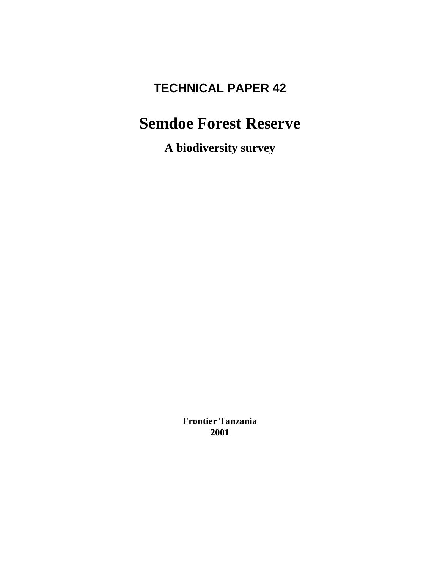# **TECHNICAL PAPER 42**

# **Semdoe Forest Reserve**

**A biodiversity survey**

**Frontier Tanzania 2001**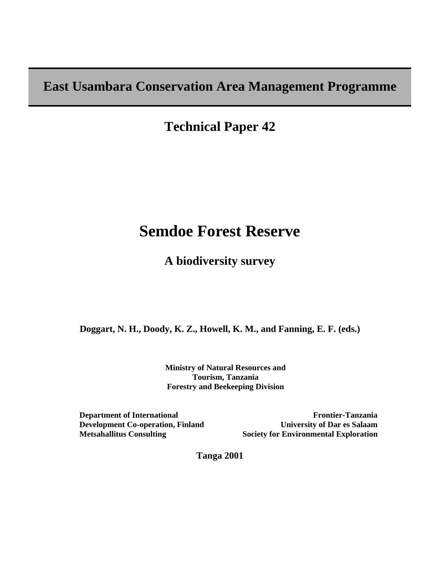# **East Usambara Conservation Area Management Programme**

**Technical Paper 42** 

# **Semdoe Forest Reserve**

**A biodiversity survey**

**Doggart, N. H., Doody, K. Z., Howell, K. M., and Fanning, E. F. (eds.)** 

 **Ministry of Natural Resources and Tourism, Tanzania Forestry and Beekeeping Division** 

**Department of International Development Co-operation, Finland Metsahallitus Consulting** 

**Frontier-Tanzania University of Dar es Salaam Society for Environmental Exploration**

**Tanga 2001**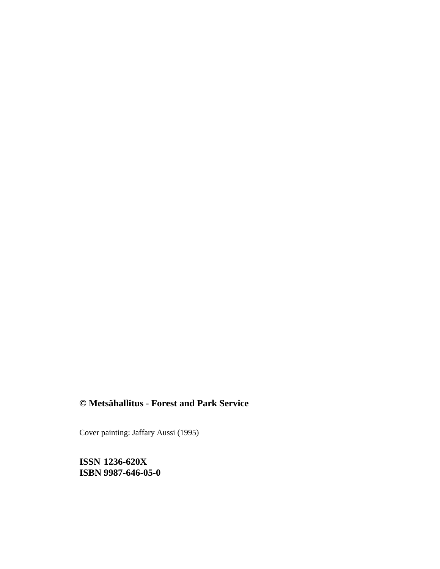# **© Metsähallitus - Forest and Park Service**

Cover painting: Jaffary Aussi (1995)

**ISSN 1236-620X ISBN 9987-646-05-0**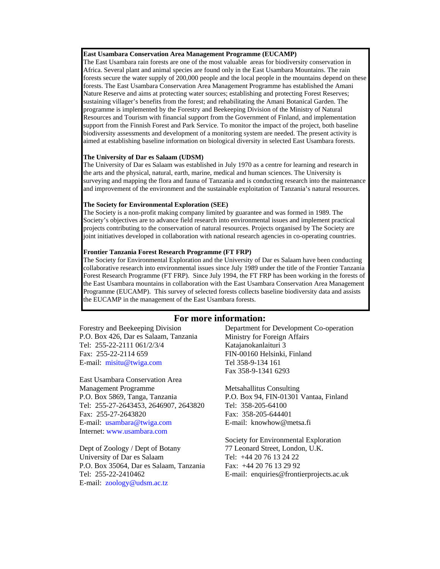#### **East Usambara Conservation Area Management Programme (EUCAMP)**

The East Usambara rain forests are one of the most valuable areas for biodiversity conservation in Africa. Several plant and animal species are found only in the East Usambara Mountains. The rain forests secure the water supply of 200,000 people and the local people in the mountains depend on these forests. The East Usambara Conservation Area Management Programme has established the Amani Nature Reserve and aims at protecting water sources; establishing and protecting Forest Reserves; sustaining villager's benefits from the forest; and rehabilitating the Amani Botanical Garden. The programme is implemented by the Forestry and Beekeeping Division of the Ministry of Natural Resources and Tourism with financial support from the Government of Finland, and implementation support from the Finnish Forest and Park Service. To monitor the impact of the project, both baseline biodiversity assessments and development of a monitoring system are needed. The present activity is aimed at establishing baseline information on biological diversity in selected East Usambara forests.

#### **The University of Dar es Salaam (UDSM)**

The University of Dar es Salaam was established in July 1970 as a centre for learning and research in the arts and the physical, natural, earth, marine, medical and human sciences. The University is surveying and mapping the flora and fauna of Tanzania and is conducting research into the maintenance and improvement of the environment and the sustainable exploitation of Tanzania's natural resources.

#### **The Society for Environmental Exploration (SEE)**

The Society is a non-profit making company limited by guarantee and was formed in 1989. The Society's objectives are to advance field research into environmental issues and implement practical projects contributing to the conservation of natural resources. Projects organised by The Society are joint initiatives developed in collaboration with national research agencies in co-operating countries.

#### **Frontier Tanzania Forest Research Programme (FT FRP)**

The Society for Environmental Exploration and the University of Dar es Salaam have been conducting collaborative research into environmental issues since July 1989 under the title of the Frontier Tanzania Forest Research Programme (FT FRP). Since July 1994, the FT FRP has been working in the forests of the East Usambara mountains in collaboration with the East Usambara Conservation Area Management Programme (EUCAMP). This survey of selected forests collects baseline biodiversity data and assists the EUCAMP in the management of the East Usambara forests.

#### **For more information:**

Forestry and Beekeeping Division P.O. Box 426, Dar es Salaam, Tanzania Tel: 255-22-2111 061/2/3/4 Fax: 255-22-2114 659 E-mail: misitu@twiga.com

East Usambara Conservation Area Management Programme P.O. Box 5869, Tanga, Tanzania Tel: 255-27-2643453, 2646907, 2643820 Fax: 255-27-2643820 E-mail: usambara@twiga.com Internet: www.usambara.com

Dept of Zoology / Dept of Botany University of Dar es Salaam P.O. Box 35064, Dar es Salaam, Tanzania Tel: 255-22-2410462 E-mail: zoology@udsm.ac.tz

Department for Development Co-operation Ministry for Foreign Affairs Katajanokanlaituri 3 FIN-00160 Helsinki, Finland Tel 358-9-134 161 Fax 358-9-1341 6293

Metsahallitus Consulting P.O. Box 94, FIN-01301 Vantaa, Finland Tel: 358-205-64100 Fax: 358-205-644401 E-mail: knowhow@metsa.fi

Society for Environmental Exploration 77 Leonard Street, London, U.K. Tel: +44 20 76 13 24 22 Fax: +44 20 76 13 29 92 E-mail: enquiries@frontierprojects.ac.uk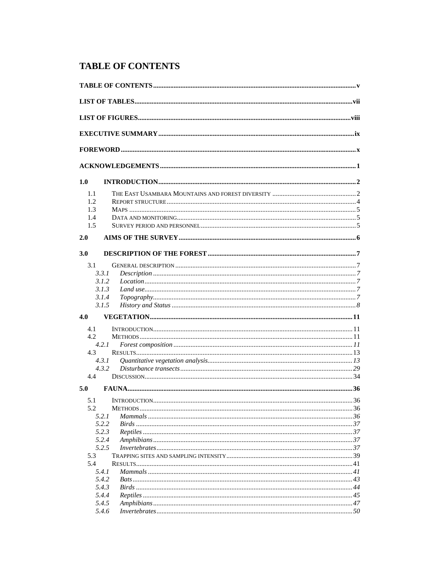# **TABLE OF CONTENTS**

| 1.0  |       |  |
|------|-------|--|
| 1.1  |       |  |
| 1.2  |       |  |
| 1.3  |       |  |
| 1.4  |       |  |
| 1.5  |       |  |
| 2.0  |       |  |
| 3.0  |       |  |
| 3.1  |       |  |
|      | 3.3.1 |  |
|      | 3.1.2 |  |
|      | 3.1.3 |  |
|      | 3.1.4 |  |
|      | 3.1.5 |  |
| 4.0  |       |  |
| 4.1  |       |  |
| 4.2. |       |  |
|      | 4.2.1 |  |
| 4.3  |       |  |
|      | 4.3.1 |  |
|      | 4.3.2 |  |
| 4.4  |       |  |
| 5.0  |       |  |
| 5.1  |       |  |
| 5.2  |       |  |
|      | 5.2.1 |  |
|      | 5.2.2 |  |
|      | 5.2.3 |  |
|      | 5.2.4 |  |
|      | 5.2.5 |  |
| 5.3  |       |  |
| 5.4  |       |  |
|      | 5.4.1 |  |
|      | 5.4.2 |  |
|      | 5.4.3 |  |
|      | 5.4.4 |  |
|      | 5.4.5 |  |
|      | 5.4.6 |  |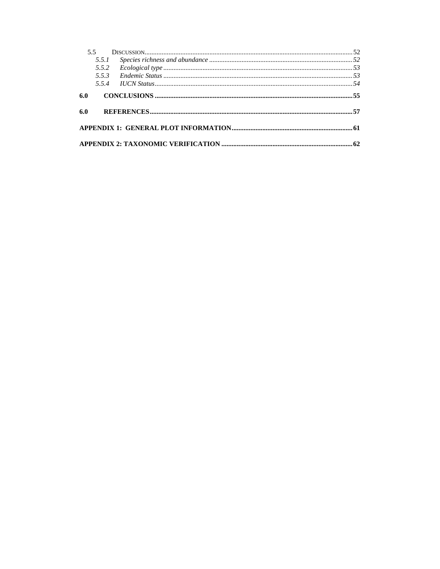|     | 55    |  |
|-----|-------|--|
|     | 5.5.1 |  |
|     | 5.5.2 |  |
|     | 5.5.3 |  |
|     |       |  |
| 6.0 |       |  |
|     |       |  |
| 6.0 |       |  |
|     |       |  |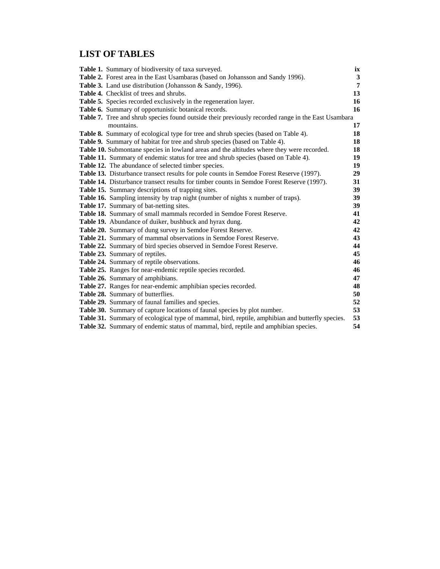# **LIST OF TABLES**

| <b>Table 1.</b> Summary of biodiversity of taxa surveyed.                                          | ix           |
|----------------------------------------------------------------------------------------------------|--------------|
| Table 2. Forest area in the East Usambaras (based on Johansson and Sandy 1996).                    | $\mathbf{3}$ |
| Table 3. Land use distribution (Johansson & Sandy, 1996).                                          | 7            |
| Table 4. Checklist of trees and shrubs.                                                            | 13           |
| Table 5. Species recorded exclusively in the regeneration layer.                                   | 16           |
| Table 6. Summary of opportunistic botanical records.                                               | 16           |
| Table 7. Tree and shrub species found outside their previously recorded range in the East Usambara |              |
| mountains.                                                                                         | 17           |
| Table 8. Summary of ecological type for tree and shrub species (based on Table 4).                 | 18           |
| Table 9. Summary of habitat for tree and shrub species (based on Table 4).                         | 18           |
| Table 10. Submontane species in lowland areas and the altitudes where they were recorded.          | 18           |
| Table 11. Summary of endemic status for tree and shrub species (based on Table 4).                 | 19           |
| Table 12. The abundance of selected timber species.                                                | 19           |
| Table 13. Disturbance transect results for pole counts in Semdoe Forest Reserve (1997).            | 29           |
| Table 14. Disturbance transect results for timber counts in Semdoe Forest Reserve (1997).          | 31           |
| Table 15. Summary descriptions of trapping sites.                                                  | 39           |
| Table 16. Sampling intensity by trap night (number of nights x number of traps).                   | 39           |
| Table 17. Summary of bat-netting sites.                                                            | 39           |
| Table 18. Summary of small mammals recorded in Semdoe Forest Reserve.                              | 41           |
| Table 19. Abundance of duiker, bushbuck and hyrax dung.                                            | 42           |
| <b>Table 20.</b> Summary of dung survey in Semdoe Forest Reserve.                                  | 42           |
| Table 21. Summary of mammal observations in Semdoe Forest Reserve.                                 | 43           |
| Table 22. Summary of bird species observed in Semdoe Forest Reserve.                               | 44           |
| Table 23. Summary of reptiles.                                                                     | 45           |
| Table 24. Summary of reptile observations.                                                         | 46           |
| Table 25. Ranges for near-endemic reptile species recorded.                                        | 46           |
| Table 26. Summary of amphibians.                                                                   | 47           |
| Table 27. Ranges for near-endemic amphibian species recorded.                                      | 48           |
| Table 28. Summary of butterflies.                                                                  | 50           |
| Table 29. Summary of faunal families and species.                                                  | 52           |
| Table 30. Summary of capture locations of faunal species by plot number.                           | 53           |
| Table 31. Summary of ecological type of mammal, bird, reptile, amphibian and butterfly species.    | 53           |
| Table 32. Summary of endemic status of mammal, bird, reptile and amphibian species.                | 54           |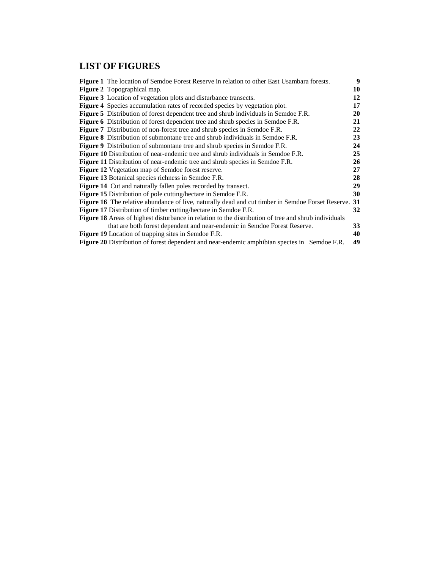# **LIST OF FIGURES**

| Figure 1 The location of Semdoe Forest Reserve in relation to other East Usambara forests.                  | 9  |
|-------------------------------------------------------------------------------------------------------------|----|
| <b>Figure 2</b> Topographical map.                                                                          | 10 |
| Figure 3 Location of vegetation plots and disturbance transects.                                            | 12 |
| Figure 4 Species accumulation rates of recorded species by vegetation plot.                                 | 17 |
| <b>Figure 5</b> Distribution of forest dependent tree and shrub individuals in Semdoe F.R.                  | 20 |
| <b>Figure 6</b> Distribution of forest dependent tree and shrub species in Semdoe F.R.                      | 21 |
| <b>Figure 7</b> Distribution of non-forest tree and shrub species in Semdoe F.R.                            | 22 |
| Figure 8 Distribution of submontane tree and shrub individuals in Semdoe F.R.                               | 23 |
| Figure 9 Distribution of submontane tree and shrub species in Semdoe F.R.                                   | 24 |
| <b>Figure 10</b> Distribution of near-endemic tree and shrub individuals in Semdoe F.R.                     | 25 |
| <b>Figure 11</b> Distribution of near-endemic tree and shrub species in Semdoe F.R.                         | 26 |
| Figure 12 Vegetation map of Semdoe forest reserve.                                                          | 27 |
| <b>Figure 13</b> Botanical species richness in Semdoe F.R.                                                  | 28 |
| <b>Figure 14</b> Cut and naturally fallen poles recorded by transect.                                       | 29 |
| <b>Figure 15</b> Distribution of pole cutting/hectare in Semdoe F.R.                                        | 30 |
| <b>Figure 16</b> The relative abundance of live, naturally dead and cut timber in Semdoe Forset Reserve. 31 |    |
| <b>Figure 17</b> Distribution of timber cutting/hectare in Semdoe F.R.                                      | 32 |
| <b>Figure 18</b> Areas of highest disturbance in relation to the distribution of tree and shrub individuals |    |
| that are both forest dependent and near-endemic in Semdoe Forest Reserve.                                   | 33 |
| Figure 19 Location of trapping sites in Semdoe F.R.                                                         | 40 |
| <b>Figure 20</b> Distribution of forest dependent and near-endemic amphibian species in Semdoe F.R.         | 49 |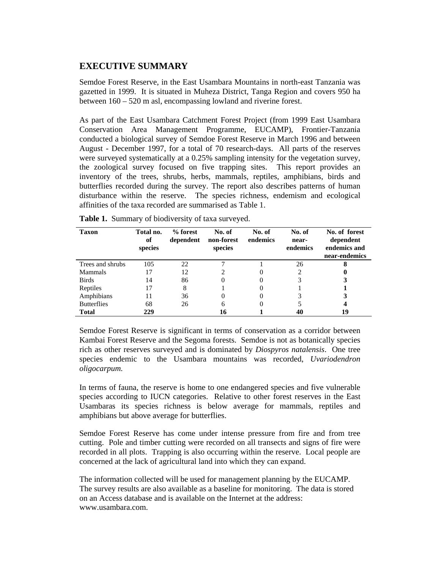# **EXECUTIVE SUMMARY**

Semdoe Forest Reserve, in the East Usambara Mountains in north-east Tanzania was gazetted in 1999. It is situated in Muheza District, Tanga Region and covers 950 ha between 160 – 520 m asl, encompassing lowland and riverine forest.

As part of the East Usambara Catchment Forest Project (from 1999 East Usambara Conservation Area Management Programme, EUCAMP), Frontier-Tanzania conducted a biological survey of Semdoe Forest Reserve in March 1996 and between August - December 1997, for a total of 70 research-days. All parts of the reserves were surveyed systematically at a 0.25% sampling intensity for the vegetation survey, the zoological survey focused on five trapping sites. This report provides an inventory of the trees, shrubs, herbs, mammals, reptiles, amphibians, birds and butterflies recorded during the survey. The report also describes patterns of human disturbance within the reserve. The species richness, endemism and ecological affinities of the taxa recorded are summarised as Table 1.

| Taxon              | Total no.<br>of<br>species | % forest<br>dependent | No. of<br>non-forest<br>species | No. of<br>endemics | No. of<br>near-<br>endemics | No. of forest<br>dependent<br>endemics and<br>near-endemics |
|--------------------|----------------------------|-----------------------|---------------------------------|--------------------|-----------------------------|-------------------------------------------------------------|
| Trees and shrubs   | 105                        | 22                    |                                 |                    | 26                          | 8                                                           |
| <b>Mammals</b>     | 17                         | 12                    |                                 |                    |                             | 0                                                           |
| <b>Birds</b>       | 14                         | 86                    | 0                               |                    | 3                           | 3                                                           |
| Reptiles           | 17                         | 8                     |                                 |                    |                             |                                                             |
| Amphibians         | 11                         | 36                    |                                 |                    |                             | 3                                                           |
| <b>Butterflies</b> | 68                         | 26                    | 6                               |                    |                             |                                                             |
| <b>Total</b>       | 229                        |                       |                                 |                    | 40                          | 19                                                          |

**Table 1.** Summary of biodiversity of taxa surveyed.

Semdoe Forest Reserve is significant in terms of conservation as a corridor between Kambai Forest Reserve and the Segoma forests. Semdoe is not as botanically species rich as other reserves surveyed and is dominated by *Diospyros natalensis*. One tree species endemic to the Usambara mountains was recorded, *Uvariodendron oligocarpum.*

In terms of fauna, the reserve is home to one endangered species and five vulnerable species according to IUCN categories. Relative to other forest reserves in the East Usambaras its species richness is below average for mammals, reptiles and amphibians but above average for butterflies.

Semdoe Forest Reserve has come under intense pressure from fire and from tree cutting. Pole and timber cutting were recorded on all transects and signs of fire were recorded in all plots. Trapping is also occurring within the reserve. Local people are concerned at the lack of agricultural land into which they can expand.

The information collected will be used for management planning by the EUCAMP. The survey results are also available as a baseline for monitoring. The data is stored on an Access database and is available on the Internet at the address: www.usambara.com.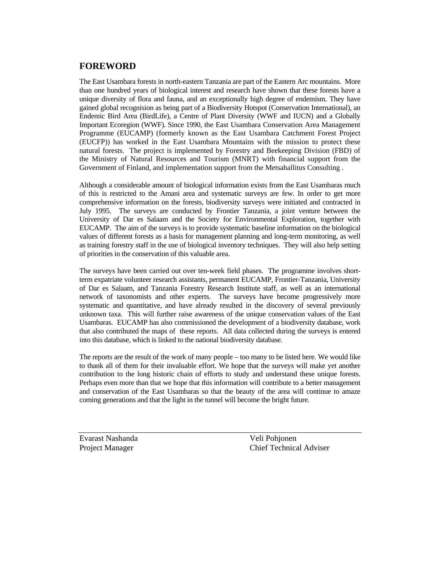# **FOREWORD**

The East Usambara forests in north-eastern Tanzania are part of the Eastern Arc mountains. More than one hundred years of biological interest and research have shown that these forests have a unique diversity of flora and fauna, and an exceptionally high degree of endemism. They have gained global recognision as being part of a Biodiversity Hotspot (Conservation International), an Endemic Bird Area (BirdLife), a Centre of Plant Diversity (WWF and IUCN) and a Globally Important Ecoregion (WWF). Since 1990, the East Usambara Conservation Area Management Programme (EUCAMP) (formerly known as the East Usambara Catchment Forest Project (EUCFP)) has worked in the East Usambara Mountains with the mission to protect these natural forests. The project is implemented by Forestry and Beekeeping Division (FBD) of the Ministry of Natural Resources and Tourism (MNRT) with financial support from the Government of Finland, and implementation support from the Metsahallitus Consulting .

Although a considerable amount of biological information exists from the East Usambaras much of this is restricted to the Amani area and systematic surveys are few. In order to get more comprehensive information on the forests, biodiversity surveys were initiated and contracted in July 1995. The surveys are conducted by Frontier Tanzania, a joint venture between the University of Dar es Salaam and the Society for Environmental Exploration, together with EUCAMP. The aim of the surveys is to provide systematic baseline information on the biological values of different forests as a basis for management planning and long-term monitoring, as well as training forestry staff in the use of biological inventory techniques. They will also help setting of priorities in the conservation of this valuable area.

The surveys have been carried out over ten-week field phases. The programme involves shortterm expatriate volunteer research assistants, permanent EUCAMP, Frontier-Tanzania, University of Dar es Salaam, and Tanzania Forestry Research Institute staff, as well as an international network of taxonomists and other experts. The surveys have become progressively more systematic and quantitative, and have already resulted in the discovery of several previously unknown taxa. This will further raise awareness of the unique conservation values of the East Usambaras. EUCAMP has also commissioned the development of a biodiversity database, work that also contributed the maps of these reports. All data collected during the surveys is entered into this database, which is linked to the national biodiversity database.

The reports are the result of the work of many people – too many to be listed here. We would like to thank all of them for their invaluable effort. We hope that the surveys will make yet another contribution to the long historic chain of efforts to study and understand these unique forests. Perhaps even more than that we hope that this information will contribute to a better management and conservation of the East Usambaras so that the beauty of the area will continue to amaze coming generations and that the light in the tunnel will become the bright future.

Evarast Nashanda Veli Pohjonen

Project Manager Chief Technical Adviser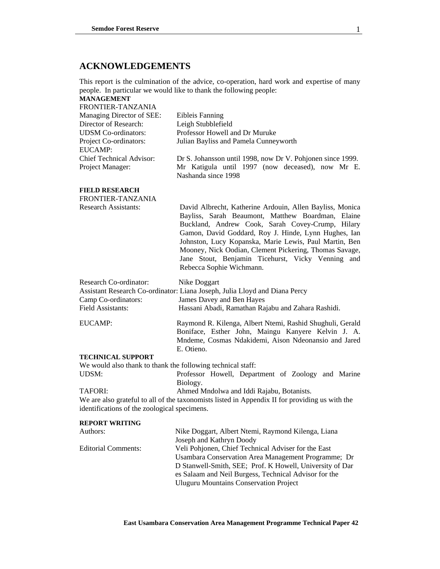# **ACKNOWLEDGEMENTS**

This report is the culmination of the advice, co-operation, hard work and expertise of many people. In particular we would like to thank the following people:

#### **MANAGEMENT**  FRONTIER-TANZANIA

| TRUNTIER-TANZANIA               |                                                            |  |  |  |
|---------------------------------|------------------------------------------------------------|--|--|--|
| Managing Director of SEE:       | Eibleis Fanning                                            |  |  |  |
| Director of Research:           | Leigh Stubblefield                                         |  |  |  |
| <b>UDSM</b> Co-ordinators:      | Professor Howell and Dr Muruke                             |  |  |  |
| Project Co-ordinators:          | Julian Bayliss and Pamela Cunneyworth                      |  |  |  |
| EUCAMP:                         |                                                            |  |  |  |
| <b>Chief Technical Advisor:</b> | Dr S. Johansson until 1998, now Dr V. Pohjonen since 1999. |  |  |  |
| Project Manager:                | Mr Katigula until 1997 (now deceased), now Mr E.           |  |  |  |
|                                 | Nashanda since 1998                                        |  |  |  |

### **FIELD RESEARCH**

| FRONTIER-TANZANIA                                                         |                                                                                                                                                                                                                                                                                                                                                                                                                                |
|---------------------------------------------------------------------------|--------------------------------------------------------------------------------------------------------------------------------------------------------------------------------------------------------------------------------------------------------------------------------------------------------------------------------------------------------------------------------------------------------------------------------|
| <b>Research Assistants:</b>                                               | David Albrecht, Katherine Ardouin, Allen Bayliss, Monica<br>Bayliss, Sarah Beaumont, Matthew Boardman, Elaine<br>Buckland, Andrew Cook, Sarah Covey-Crump, Hilary<br>Gamon, David Goddard, Roy J. Hinde, Lynn Hughes, Ian<br>Johnston, Lucy Kopanska, Marie Lewis, Paul Martin, Ben<br>Mooney, Nick Oodian, Clement Pickering, Thomas Savage,<br>Jane Stout, Benjamin Ticehurst, Vicky Venning and<br>Rebecca Sophie Wichmann. |
| <b>Research Co-ordinator:</b><br>Camp Co-ordinators:<br>Field Assistants: | Nike Doggart<br>Assistant Research Co-ordinator: Liana Joseph, Julia Lloyd and Diana Percy<br>James Davey and Ben Hayes<br>Hassani Abadi, Ramathan Rajabu and Zahara Rashidi.                                                                                                                                                                                                                                                  |
| EUCAMP:                                                                   | Raymond R. Kilenga, Albert Ntemi, Rashid Shughuli, Gerald<br>Boniface, Esther John, Maingu Kanyere Kelvin J. A.<br>Mndeme, Cosmas Ndakidemi, Aison Ndeonansio and Jared<br>E. Otieno.                                                                                                                                                                                                                                          |
| <b>TECHNICAL SUPPORT</b>                                                  |                                                                                                                                                                                                                                                                                                                                                                                                                                |
| We would also thank to thank the following technical staff:               |                                                                                                                                                                                                                                                                                                                                                                                                                                |
| UDSM:                                                                     | Professor Howell, Department of Zoology and Marine<br>Biology.                                                                                                                                                                                                                                                                                                                                                                 |

TAFORI: Ahmed Mndolwa and Iddi Rajabu, Botanists.

We are also grateful to all of the taxonomists listed in Appendix II for providing us with the identifications of the zoological specimens.

#### **REPORT WRITING**

| Authors:                   | Nike Doggart, Albert Ntemi, Raymond Kilenga, Liana       |  |  |
|----------------------------|----------------------------------------------------------|--|--|
|                            | Joseph and Kathryn Doody                                 |  |  |
| <b>Editorial Comments:</b> | Veli Pohjonen, Chief Technical Adviser for the East      |  |  |
|                            | Usambara Conservation Area Management Programme; Dr      |  |  |
|                            | D Stanwell-Smith, SEE; Prof. K Howell, University of Dar |  |  |
|                            | es Salaam and Neil Burgess, Technical Advisor for the    |  |  |
|                            | <b>Uluguru Mountains Conservation Project</b>            |  |  |
|                            |                                                          |  |  |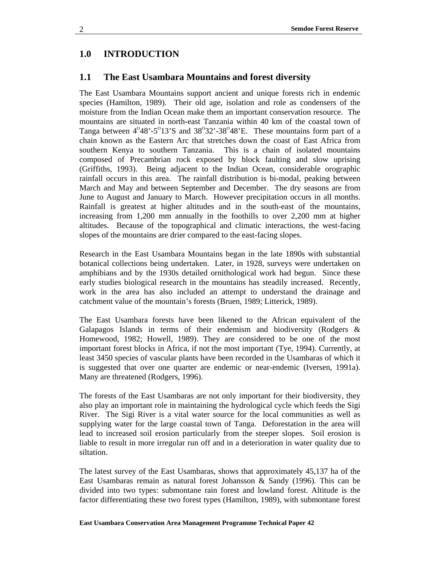# **1.0 INTRODUCTION**

### **1.1 The East Usambara Mountains and forest diversity**

The East Usambara Mountains support ancient and unique forests rich in endemic species (Hamilton, 1989). Their old age, isolation and role as condensers of the moisture from the Indian Ocean make them an important conservation resource. The mountains are situated in north-east Tanzania within 40 km of the coastal town of Tanga between  $4^{\circ}48'$ -5 $^{\circ}13'$ S and  $38^{\circ}32'$ -38 $^{\circ}48'$ E. These mountains form part of a chain known as the Eastern Arc that stretches down the coast of East Africa from southern Kenya to southern Tanzania. This is a chain of isolated mountains composed of Precambrian rock exposed by block faulting and slow uprising (Griffiths, 1993). Being adjacent to the Indian Ocean, considerable orographic rainfall occurs in this area. The rainfall distribution is bi-modal, peaking between March and May and between September and December. The dry seasons are from June to August and January to March. However precipitation occurs in all months. Rainfall is greatest at higher altitudes and in the south-east of the mountains, increasing from 1,200 mm annually in the foothills to over 2,200 mm at higher altitudes. Because of the topographical and climatic interactions, the west-facing slopes of the mountains are drier compared to the east-facing slopes.

Research in the East Usambara Mountains began in the late 1890s with substantial botanical collections being undertaken. Later, in 1928, surveys were undertaken on amphibians and by the 1930s detailed ornithological work had begun. Since these early studies biological research in the mountains has steadily increased. Recently, work in the area has also included an attempt to understand the drainage and catchment value of the mountain's forests (Bruen, 1989; Litterick, 1989).

The East Usambara forests have been likened to the African equivalent of the Galapagos Islands in terms of their endemism and biodiversity (Rodgers & Homewood, 1982; Howell, 1989). They are considered to be one of the most important forest blocks in Africa, if not the most important (Tye, 1994). Currently, at least 3450 species of vascular plants have been recorded in the Usambaras of which it is suggested that over one quarter are endemic or near-endemic (Iversen, 1991a). Many are threatened (Rodgers, 1996).

The forests of the East Usambaras are not only important for their biodiversity, they also play an important role in maintaining the hydrological cycle which feeds the Sigi River. The Sigi River is a vital water source for the local communities as well as supplying water for the large coastal town of Tanga. Deforestation in the area will lead to increased soil erosion particularly from the steeper slopes. Soil erosion is liable to result in more irregular run off and in a deterioration in water quality due to siltation.

The latest survey of the East Usambaras, shows that approximately 45,137 ha of the East Usambaras remain as natural forest Johansson & Sandy (1996). This can be divided into two types: submontane rain forest and lowland forest. Altitude is the factor differentiating these two forest types (Hamilton, 1989), with submontane forest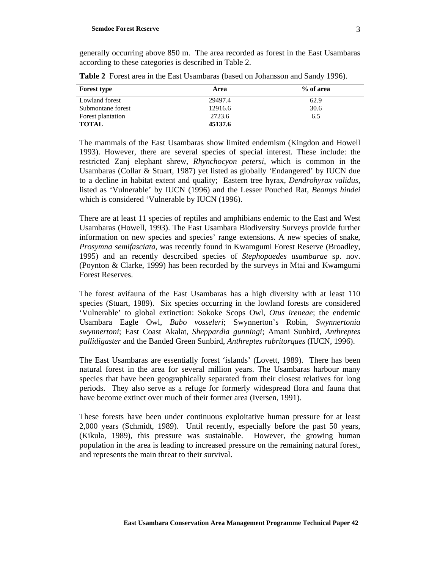generally occurring above 850 m. The area recorded as forest in the East Usambaras according to these categories is described in Table 2.

| <b>Forest type</b> | Area    | % of area |
|--------------------|---------|-----------|
| Lowland forest     | 29497.4 | 62.9      |
| Submontane forest  | 12916.6 | 30.6      |
| Forest plantation  | 2723.6  | 6.5       |
| TOTAL              | 45137.6 |           |

**Table 2** Forest area in the East Usambaras (based on Johansson and Sandy 1996).

The mammals of the East Usambaras show limited endemism (Kingdon and Howell 1993). However, there are several species of special interest. These include: the restricted Zanj elephant shrew, *Rhynchocyon petersi,* which is common in the Usambaras (Collar & Stuart, 1987) yet listed as globally 'Endangered' by IUCN due to a decline in habitat extent and quality; Eastern tree hyrax, *Dendrohyrax validus*, listed as 'Vulnerable' by IUCN (1996) and the Lesser Pouched Rat, *Beamys hindei*  which is considered 'Vulnerable by IUCN (1996).

There are at least 11 species of reptiles and amphibians endemic to the East and West Usambaras (Howell, 1993). The East Usambara Biodiversity Surveys provide further information on new species and species' range extensions. A new species of snake, *Prosymna semifasciata,* was recently found in Kwamgumi Forest Reserve (Broadley, 1995) and an recently descrcibed species of *Stephopaedes usambarae* sp. nov. (Poynton & Clarke, 1999) has been recorded by the surveys in Mtai and Kwamgumi Forest Reserves.

The forest avifauna of the East Usambaras has a high diversity with at least 110 species (Stuart, 1989). Six species occurring in the lowland forests are considered 'Vulnerable' to global extinction: Sokoke Scops Owl, *Otus ireneae*; the endemic Usambara Eagle Owl, *Bubo vosseleri*; Swynnerton's Robin, *Swynnertonia swynnertoni*; East Coast Akalat, *Sheppardia gunningi*; Amani Sunbird, *Anthreptes pallidigaster* and the Banded Green Sunbird, *Anthreptes rubritorques* (IUCN*,* 1996).

The East Usambaras are essentially forest 'islands' (Lovett, 1989). There has been natural forest in the area for several million years. The Usambaras harbour many species that have been geographically separated from their closest relatives for long periods. They also serve as a refuge for formerly widespread flora and fauna that have become extinct over much of their former area (Iversen, 1991).

These forests have been under continuous exploitative human pressure for at least 2,000 years (Schmidt, 1989). Until recently, especially before the past 50 years, (Kikula, 1989), this pressure was sustainable. However, the growing human population in the area is leading to increased pressure on the remaining natural forest, and represents the main threat to their survival.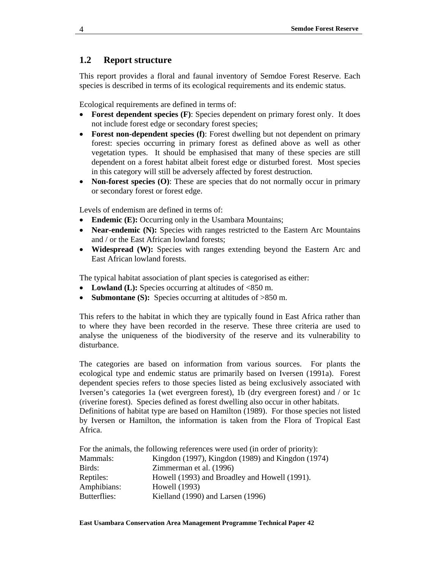# **1.2 Report structure**

This report provides a floral and faunal inventory of Semdoe Forest Reserve. Each species is described in terms of its ecological requirements and its endemic status.

Ecological requirements are defined in terms of:

- **Forest dependent species (F)**: Species dependent on primary forest only. It does not include forest edge or secondary forest species;
- **Forest non-dependent species (f)**: Forest dwelling but not dependent on primary forest: species occurring in primary forest as defined above as well as other vegetation types. It should be emphasised that many of these species are still dependent on a forest habitat albeit forest edge or disturbed forest. Most species in this category will still be adversely affected by forest destruction.
- **Non-forest species (O)**: These are species that do not normally occur in primary or secondary forest or forest edge.

Levels of endemism are defined in terms of:

- **Endemic (E):** Occurring only in the Usambara Mountains;
- **Near-endemic (N):** Species with ranges restricted to the Eastern Arc Mountains and / or the East African lowland forests;
- **Widespread (W):** Species with ranges extending beyond the Eastern Arc and East African lowland forests.

The typical habitat association of plant species is categorised as either:

- Lowland (L): Species occurring at altitudes of  $<850$  m.
- **Submontane (S):** Species occurring at altitudes of >850 m.

This refers to the habitat in which they are typically found in East Africa rather than to where they have been recorded in the reserve. These three criteria are used to analyse the uniqueness of the biodiversity of the reserve and its vulnerability to disturbance.

The categories are based on information from various sources. For plants the ecological type and endemic status are primarily based on Iversen (1991a). Forest dependent species refers to those species listed as being exclusively associated with Iversen's categories 1a (wet evergreen forest), 1b (dry evergreen forest) and / or 1c (riverine forest). Species defined as forest dwelling also occur in other habitats.

Definitions of habitat type are based on Hamilton (1989). For those species not listed by Iversen or Hamilton, the information is taken from the Flora of Tropical East Africa.

|              | For the animals, the following references were used (in order of priority): |
|--------------|-----------------------------------------------------------------------------|
| Mammals:     | Kingdon (1997), Kingdon (1989) and Kingdon (1974)                           |
| Birds:       | Zimmerman et al. (1996)                                                     |
| Reptiles:    | Howell (1993) and Broadley and Howell (1991).                               |
| Amphibians:  | Howell (1993)                                                               |
| Butterflies: | Kielland (1990) and Larsen (1996)                                           |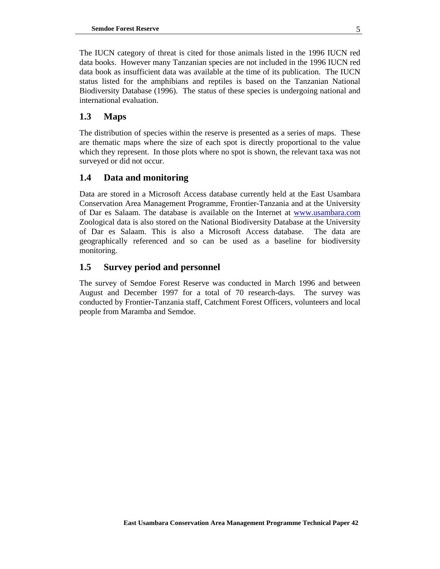The IUCN category of threat is cited for those animals listed in the 1996 IUCN red data books. However many Tanzanian species are not included in the 1996 IUCN red data book as insufficient data was available at the time of its publication. The IUCN status listed for the amphibians and reptiles is based on the Tanzanian National Biodiversity Database (1996). The status of these species is undergoing national and international evaluation.

# **1.3 Maps**

The distribution of species within the reserve is presented as a series of maps. These are thematic maps where the size of each spot is directly proportional to the value which they represent. In those plots where no spot is shown, the relevant taxa was not surveyed or did not occur.

# **1.4 Data and monitoring**

Data are stored in a Microsoft Access database currently held at the East Usambara Conservation Area Management Programme, Frontier-Tanzania and at the University of Dar es Salaam. The database is available on the Internet at www.usambara.com Zoological data is also stored on the National Biodiversity Database at the University of Dar es Salaam. This is also a Microsoft Access database. The data are geographically referenced and so can be used as a baseline for biodiversity monitoring.

# **1.5 Survey period and personnel**

The survey of Semdoe Forest Reserve was conducted in March 1996 and between August and December 1997 for a total of 70 research-days. The survey was conducted by Frontier-Tanzania staff, Catchment Forest Officers, volunteers and local people from Maramba and Semdoe.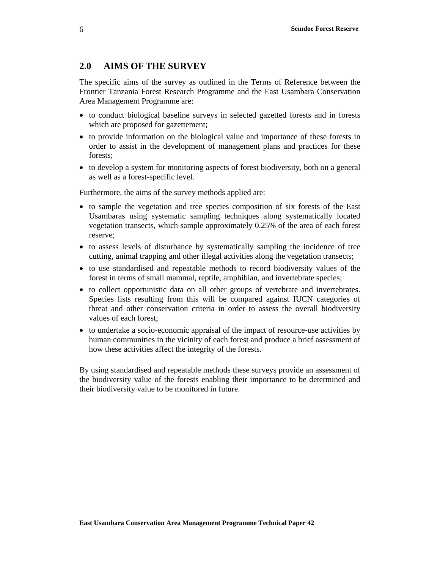## **2.0 AIMS OF THE SURVEY**

The specific aims of the survey as outlined in the Terms of Reference between the Frontier Tanzania Forest Research Programme and the East Usambara Conservation Area Management Programme are:

- to conduct biological baseline surveys in selected gazetted forests and in forests which are proposed for gazettement;
- to provide information on the biological value and importance of these forests in order to assist in the development of management plans and practices for these forests;
- to develop a system for monitoring aspects of forest biodiversity, both on a general as well as a forest-specific level.

Furthermore, the aims of the survey methods applied are:

- to sample the vegetation and tree species composition of six forests of the East Usambaras using systematic sampling techniques along systematically located vegetation transects, which sample approximately 0.25% of the area of each forest reserve;
- to assess levels of disturbance by systematically sampling the incidence of tree cutting, animal trapping and other illegal activities along the vegetation transects;
- to use standardised and repeatable methods to record biodiversity values of the forest in terms of small mammal, reptile, amphibian, and invertebrate species;
- to collect opportunistic data on all other groups of vertebrate and invertebrates. Species lists resulting from this will be compared against IUCN categories of threat and other conservation criteria in order to assess the overall biodiversity values of each forest;
- to undertake a socio-economic appraisal of the impact of resource-use activities by human communities in the vicinity of each forest and produce a brief assessment of how these activities affect the integrity of the forests.

By using standardised and repeatable methods these surveys provide an assessment of the biodiversity value of the forests enabling their importance to be determined and their biodiversity value to be monitored in future.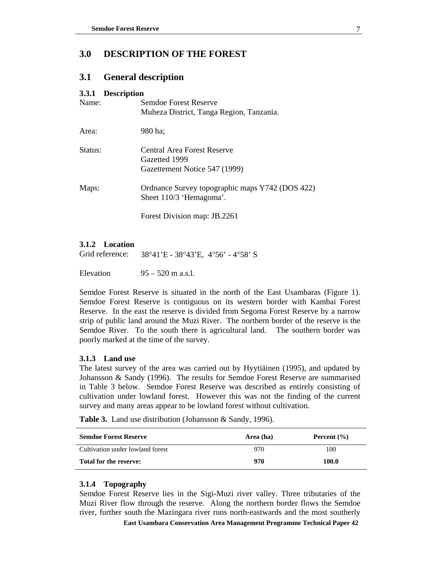# **3.0 DESCRIPTION OF THE FOREST**

# **3.1 General description**

### **3.3.1 Description**

| Name:   | Semdoe Forest Reserve<br>Muheza District, Tanga Region, Tanzania.             |
|---------|-------------------------------------------------------------------------------|
| Area:   | 980 ha;                                                                       |
| Status: | Central Area Forest Reserve<br>Gazetted 1999<br>Gazettement Notice 547 (1999) |
| Maps:   | Ordnance Survey topographic maps Y742 (DOS 422)<br>Sheet 110/3 'Hemagoma'.    |
|         | Forest Division map: JB.2261                                                  |

### **3.1.2 Location**

Grid reference: 38°41'E - 38°43'E, 4°56' - 4°58' S

Elevation  $95 - 520$  m a.s.l.

Semdoe Forest Reserve is situated in the north of the East Usambaras (Figure 1). Semdoe Forest Reserve is contiguous on its western border with Kambai Forest Reserve. In the east the reserve is divided from Segoma Forest Reserve by a narrow strip of public land around the Muzi River. The northern border of the reserve is the Semdoe River. To the south there is agricultural land. The southern border was poorly marked at the time of the survey.

### **3.1.3 Land use**

The latest survey of the area was carried out by Hyytiäinen (1995), and updated by Johansson & Sandy (1996). The results for Semdoe Forest Reserve are summarised in Table 3 below. Semdoe Forest Reserve was described as entirely consisting of cultivation under lowland forest. However this was not the finding of the current survey and many areas appear to be lowland forest without cultivation.

**Table 3.** Land use distribution (Johansson & Sandy, 1996).

| <b>Semdoe Forest Reserve</b>     | Area (ha) | Percent $(\% )$ |
|----------------------------------|-----------|-----------------|
| Cultivation under lowland forest | 970       | 100             |
| Total for the reserve:           | 970       | 100.0           |

### **3.1.4 Topography**

Semdoe Forest Reserve lies in the Sigi-Muzi river valley. Three tributaries of the Muzi River flow through the reserve. Along the northern border flows the Semdoe river, further south the Mazingara river runs north-eastwards and the most southerly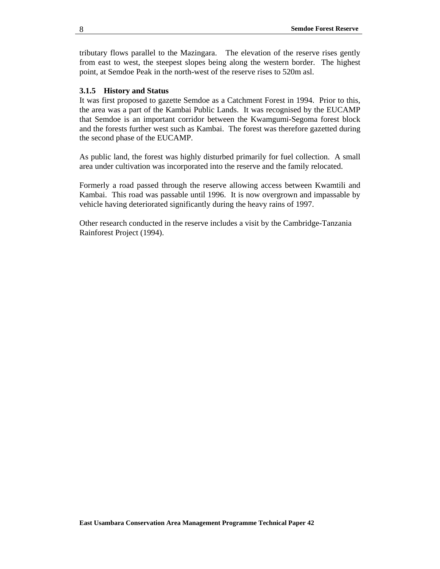tributary flows parallel to the Mazingara. The elevation of the reserve rises gently from east to west, the steepest slopes being along the western border. The highest point, at Semdoe Peak in the north-west of the reserve rises to 520m asl.

#### **3.1.5 History and Status**

It was first proposed to gazette Semdoe as a Catchment Forest in 1994. Prior to this, the area was a part of the Kambai Public Lands. It was recognised by the EUCAMP that Semdoe is an important corridor between the Kwamgumi-Segoma forest block and the forests further west such as Kambai. The forest was therefore gazetted during the second phase of the EUCAMP.

As public land, the forest was highly disturbed primarily for fuel collection. A small area under cultivation was incorporated into the reserve and the family relocated.

Formerly a road passed through the reserve allowing access between Kwamtili and Kambai. This road was passable until 1996. It is now overgrown and impassable by vehicle having deteriorated significantly during the heavy rains of 1997.

Other research conducted in the reserve includes a visit by the Cambridge-Tanzania Rainforest Project (1994).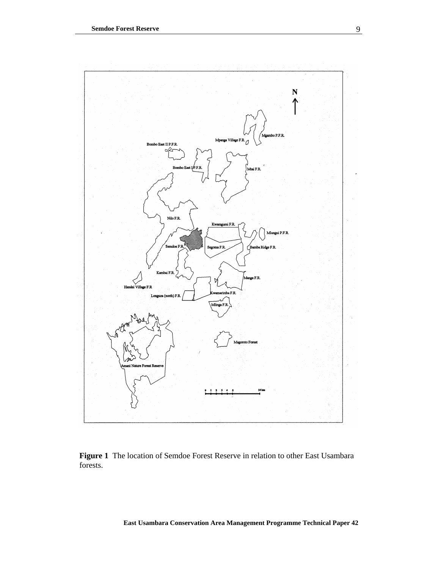

**Figure 1** The location of Semdoe Forest Reserve in relation to other East Usambara forests.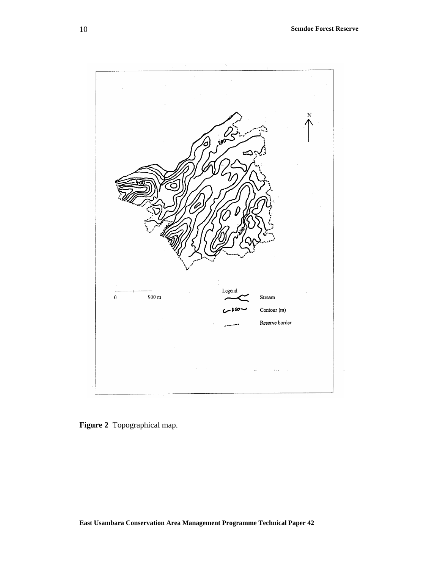

**Figure 2** Topographical map.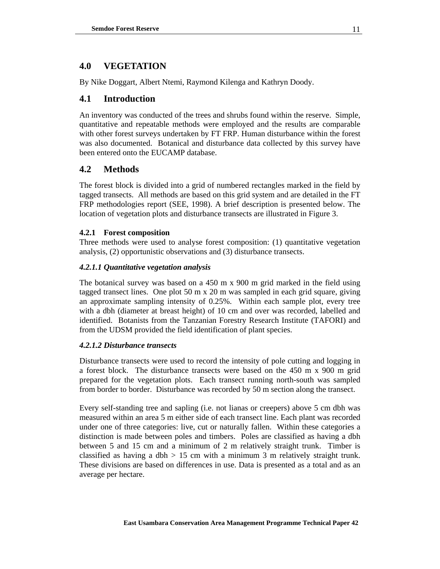# **4.0 VEGETATION**

By Nike Doggart, Albert Ntemi, Raymond Kilenga and Kathryn Doody.

# **4.1 Introduction**

An inventory was conducted of the trees and shrubs found within the reserve. Simple, quantitative and repeatable methods were employed and the results are comparable with other forest surveys undertaken by FT FRP. Human disturbance within the forest was also documented. Botanical and disturbance data collected by this survey have been entered onto the EUCAMP database.

# **4.2 Methods**

The forest block is divided into a grid of numbered rectangles marked in the field by tagged transects. All methods are based on this grid system and are detailed in the FT FRP methodologies report (SEE, 1998). A brief description is presented below. The location of vegetation plots and disturbance transects are illustrated in Figure 3.

# **4.2.1 Forest composition**

Three methods were used to analyse forest composition: (1) quantitative vegetation analysis, (2) opportunistic observations and (3) disturbance transects.

## *4.2.1.1 Quantitative vegetation analysis*

The botanical survey was based on a 450 m x 900 m grid marked in the field using tagged transect lines. One plot 50 m x 20 m was sampled in each grid square, giving an approximate sampling intensity of 0.25%. Within each sample plot, every tree with a dbh (diameter at breast height) of 10 cm and over was recorded, labelled and identified. Botanists from the Tanzanian Forestry Research Institute (TAFORI) and from the UDSM provided the field identification of plant species.

### *4.2.1.2 Disturbance transects*

Disturbance transects were used to record the intensity of pole cutting and logging in a forest block. The disturbance transects were based on the 450 m x 900 m grid prepared for the vegetation plots. Each transect running north-south was sampled from border to border. Disturbance was recorded by 50 m section along the transect.

Every self-standing tree and sapling (i.e. not lianas or creepers) above 5 cm dbh was measured within an area 5 m either side of each transect line. Each plant was recorded under one of three categories: live, cut or naturally fallen. Within these categories a distinction is made between poles and timbers. Poles are classified as having a dbh between 5 and 15 cm and a minimum of 2 m relatively straight trunk. Timber is classified as having a dbh  $> 15$  cm with a minimum 3 m relatively straight trunk. These divisions are based on differences in use. Data is presented as a total and as an average per hectare.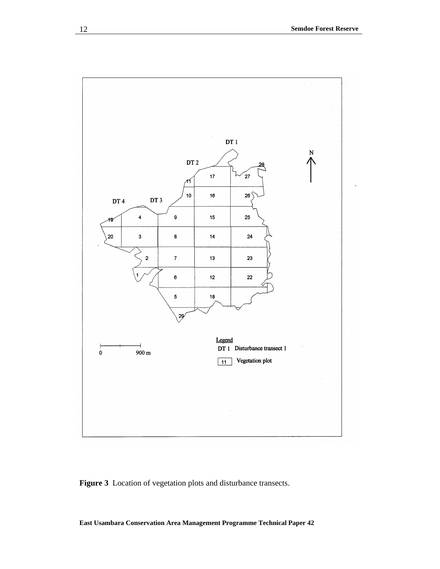

**Figure 3** Location of vegetation plots and disturbance transects.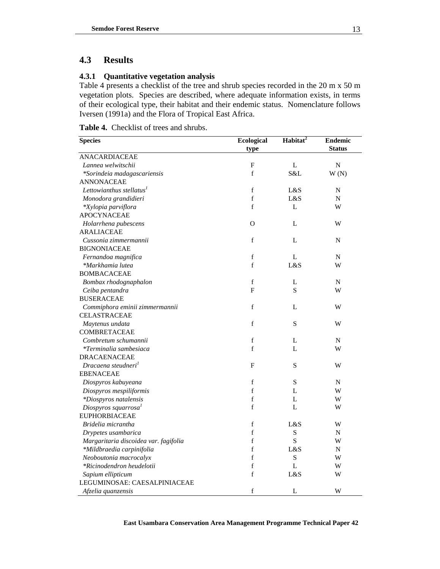# **4.3 Results**

### **4.3.1 Quantitative vegetation analysis**

Table 4 presents a checklist of the tree and shrub species recorded in the 20 m x 50 m vegetation plots. Species are described, where adequate information exists, in terms of their ecological type, their habitat and their endemic status. Nomenclature follows Iversen (1991a) and the Flora of Tropical East Africa.

**Table 4.** Checklist of trees and shrubs.

| <b>Species</b>                        | Ecological                | Habitat <sup>2</sup> | <b>Endemic</b> |
|---------------------------------------|---------------------------|----------------------|----------------|
|                                       | type                      |                      | <b>Status</b>  |
| <b>ANACARDIACEAE</b>                  |                           |                      |                |
| Lannea welwitschii                    | $\boldsymbol{\mathrm{F}}$ | L                    | $\overline{N}$ |
| *Sorindeia madagascariensis           | $\mathbf f$               | S&L                  | W(N)           |
| <b>ANNONACEAE</b>                     |                           |                      |                |
| Lettowianthus stellatus <sup>1</sup>  | $\mathbf f$               | L&S                  | N              |
| Monodora grandidieri                  | f                         | L&S                  | N              |
| *Xylopia parviflora                   | f                         | L                    | W              |
| <b>APOCYNACEAE</b>                    |                           |                      |                |
| Holarrhena pubescens                  | $\Omega$                  | L                    | W              |
| <b>ARALIACEAE</b>                     |                           |                      |                |
| Cussonia zimmermannii                 | $\mathbf f$               | L                    | N              |
| <b>BIGNONIACEAE</b>                   |                           |                      |                |
| Fernandoa magnifica                   | $\mathbf f$               | L                    | N              |
| *Markhamia lutea                      | f                         | L&S                  | W              |
| <b>BOMBACACEAE</b>                    |                           |                      |                |
| Bombax rhodognaphalon                 | $\mathbf f$               | L                    | N              |
| Ceiba pentandra                       | F                         | S                    | W              |
| <b>BUSERACEAE</b>                     |                           |                      |                |
| Commiphora eminii zimmermannii        | f                         | L                    | W              |
| <b>CELASTRACEAE</b>                   |                           |                      |                |
| Maytenus undata                       | f                         | S                    | W              |
| <b>COMBRETACEAE</b>                   |                           |                      |                |
| Combretum schumannii                  | $\mathbf f$               | L                    | N              |
| *Terminalia sambesiaca                | f                         | L                    | W              |
| <b>DRACAENACEAE</b>                   |                           |                      |                |
| Dracaena steudneri <sup>1</sup>       | $\boldsymbol{\mathrm{F}}$ | S                    | W              |
| <b>EBENACEAE</b>                      |                           |                      |                |
| Diospyros kabuyeana                   | f                         | $\mathbf S$          | N              |
| Diospyros mespiliformis               | f                         | $\mathbf{L}$         | W              |
| *Diospyros natalensis                 | f                         | L                    | W              |
| Diospyros squarrosa <sup>1</sup>      | $\mathbf f$               | L                    | W              |
| <b>EUPHORBIACEAE</b>                  |                           |                      |                |
| Bridelia micrantha                    | $\mathbf f$               | L&S                  | W              |
| Drypetes usambarica                   | f                         | S                    | N              |
| Margaritaria discoidea var. fagifolia | $\mathbf f$               | $\mathbf S$          | W              |
| *Mildbraedia carpinifolia             | f                         | L&S                  | N              |
| Neoboutonia macrocalyx                | $\mathbf f$               | S                    | W              |
| *Ricinodendron heudelotii             | f                         | L                    | W              |
| Sapium ellipticum                     | $\mathbf f$               | L&S                  | W              |
| LEGUMINOSAE: CAESALPINIACEAE          |                           |                      |                |
| Afzelia quanzensis                    | f                         | L                    | W              |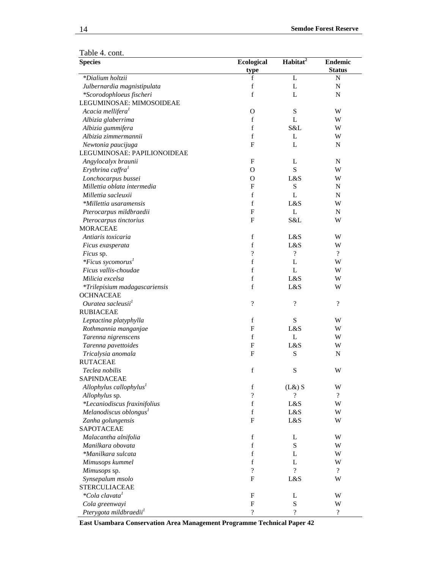| Table 4. cont. |  |
|----------------|--|
|----------------|--|

<u> 1989 - Johann Barbara, martxa amerikan p</u>

| <b>Species</b>                       | <b>Ecological</b>        | Habitat <sup>2</sup>     | <b>Endemic</b>           |
|--------------------------------------|--------------------------|--------------------------|--------------------------|
|                                      | type                     |                          | <b>Status</b>            |
| *Dialium holtzii                     | f                        | L                        | N                        |
| Julbernardia magnistipulata          | f                        | L                        | $\mathbf N$              |
| *Scorodophloeus fischeri             | $f_{\rm}$                | L                        | N                        |
| LEGUMINOSAE: MIMOSOIDEAE             |                          |                          |                          |
| Acacia mellifera <sup>1</sup>        | $\mathbf{O}$             | ${\bf S}$                | W                        |
| Albizia glaberrima                   | $\mathbf f$              | L                        | W                        |
| Albizia gummifera                    | $f_{\rm}$                | S&L                      | W                        |
| Albizia zimmermannii                 | $f_{\rm}$                | L                        | W                        |
| Newtonia paucijuga                   | $\mathbf F$              | L                        | N                        |
| LEGUMINOSAE: PAPILIONOIDEAE          |                          |                          |                          |
| Angylocalyx braunii                  | $\mathbf{F}$             | L                        | N                        |
| Erythrina caffra <sup>1</sup>        | O                        | S                        | W                        |
| Lonchocarpus bussei                  | $\mathbf{O}$             | L&S                      | W                        |
| Millettia oblata intermedia          | $\mathbf{F}$             | ${\bf S}$                | N                        |
| Millettia sacleuxii                  | $f_{\rm}$                | L                        | N                        |
| *Millettia usaramensis               | $\mathbf f$              | L&S                      | W                        |
| Pterocarpus mildbraedii              | $\mathbf{F}$             | L                        | N                        |
| Pterocarpus tinctorius               | $\mathbf{F}$             | S&L                      | W                        |
| <b>MORACEAE</b>                      |                          |                          |                          |
| Antiaris toxicaria                   | $\mathbf f$              | L&S                      | W                        |
| Ficus exasperata                     | $\mathbf f$              | L&S                      | W                        |
|                                      | $\overline{\cdot}$       | $\overline{\cdot}$       | $\overline{\mathcal{L}}$ |
| Ficus sp.                            | $f_{\rm}$                |                          |                          |
| <i>*Ficus sycomorus</i> <sup>1</sup> |                          | L                        | W                        |
| Ficus vallis-choudae                 | $f_{\rm}$                | L                        | W                        |
| Milicia excelsa                      | f                        | L&S                      | W                        |
| *Trilepisium madagascariensis        | $\rm f$                  | L&S                      | W                        |
| <b>OCHNACEAE</b>                     |                          |                          |                          |
| Ouratea sacleusii <sup>1</sup>       | $\overline{\mathcal{L}}$ | ?                        | $\overline{\cdot}$       |
| <b>RUBIACEAE</b>                     |                          |                          |                          |
| Leptactina platyphylla               | $\mathbf f$              | S                        | W                        |
| Rothmannia manganjae                 | $\mathbf{F}$             | L&S                      | W                        |
| Tarenna nigrenscens                  | $\mathbf f$              | L                        | W                        |
| Tarenna pavettoides                  | $\mathbf F$              | L&S                      | W                        |
| Tricalysia anomala                   | $\mathbf F$              | S                        | N                        |
| <b>RUTACEAE</b>                      |                          |                          |                          |
| Teclea nobilis                       | $\mathbf f$              | ${\bf S}$                | W                        |
| <b>SAPINDACEAE</b>                   |                          |                          |                          |
| Allophylus callophylus <sup>1</sup>  | $\mathbf f$              | $(L&)$ S                 | W                        |
| Allophylus sp.                       | $\overline{\cdot}$       | ?                        | $\overline{?}$           |
| *Lecaniodiscus fraxinifolius         | $f_{\rm}$                | L&S                      | W                        |
| Melanodiscus oblongus <sup>1</sup>   | $\mathbf f$              | L&S                      | W                        |
| Zanha golungensis                    | $\mathbf F$              | L&S                      | W                        |
| SAPOTACEAE                           |                          |                          |                          |
| Malacantha alnifolia                 | $\mathbf f$              | L                        | W                        |
| Manilkara obovata                    | $\mathbf f$              | S                        | W                        |
| *Manilkara sulcata                   | f                        | L                        | W                        |
| Mimusops kummel                      | $\mathbf f$              | L                        | W                        |
| Mimusops sp.                         | $\overline{\cdot}$       | $\gamma$                 | $\overline{\mathcal{L}}$ |
| Synsepalum msolo                     | $\mathbf{F}$             | L&S                      | W                        |
| <b>STERCULIACEAE</b>                 |                          |                          |                          |
| <i>*Cola clavata</i> <sup>1</sup>    | F                        | L                        | W                        |
| Cola greenwayi                       | $\mathbf F$              | ${\bf S}$                | W                        |
| Pterygota mildbraedii <sup>1</sup>   | $\overline{?}$           | $\overline{\mathcal{L}}$ | $\overline{\mathcal{L}}$ |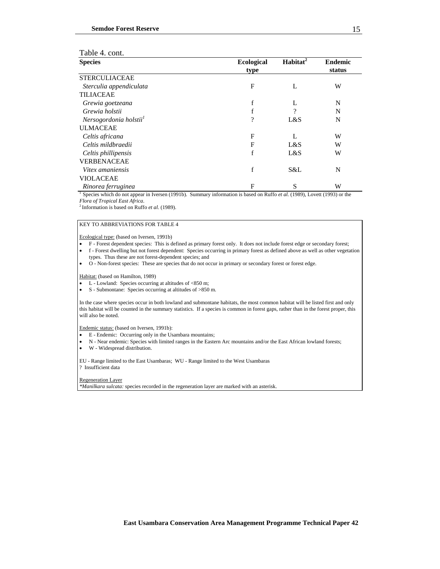| Table 4. cont. |  |  |
|----------------|--|--|
|----------------|--|--|

| <b>Species</b>                     | <b>Ecological</b> | Habitat $\overline{t^2}$ | <b>Endemic</b> |
|------------------------------------|-------------------|--------------------------|----------------|
|                                    | type              |                          | status         |
| <b>STERCULIACEAE</b>               |                   |                          |                |
| Sterculia appendiculata            | F                 | L                        | W              |
| <b>TILIACEAE</b>                   |                   |                          |                |
| Grewia goetzeana                   | f                 | L                        | N              |
| Grewia holstii                     | f                 | 9                        | N              |
| Nersogordonia holstii <sup>1</sup> | ?                 | L&S                      | N              |
| <b>ULMACEAE</b>                    |                   |                          |                |
| Celtis africana                    | F                 |                          | W              |
| Celtis mildbraedii                 | F                 | L&S                      | W              |
| Celtis phillipensis                | f                 | L&S                      | W              |
| <b>VERBENACEAE</b>                 |                   |                          |                |
| Vitex amaniensis                   | f                 | S&L                      | N              |
| <b>VIOLACEAE</b>                   |                   |                          |                |
| Rinorea ferruginea                 | F                 | S                        | W              |

<sup>1</sup> Species which do not appear in Iversen (1991b). Summary information is based on Ruffo *et al.* (1989), Lovett (1993) or the *Flora of Tropical East Africa*.

<sup>2</sup> Information is based on Ruffo *et al.* (1989).

#### KEY TO ABBREVIATIONS FOR TABLE 4

Ecological type: (based on Iversen, 1991b)

- F Forest dependent species: This is defined as primary forest only. It does not include forest edge or secondary forest;
- f Forest dwelling but not forest dependent: Species occurring in primary forest as defined above as well as other vegetation types. Thus these are not forest-dependent species; and
- O Non-forest species: These are species that do not occur in primary or secondary forest or forest edge.

Habitat: (based on Hamilton, 1989)

- L Lowland: Species occurring at altitudes of <850 m;
- S Submontane: Species occurring at altitudes of >850 m.

In the case where species occur in both lowland and submontane habitats, the most common habitat will be listed first and only this habitat will be counted in the summary statistics. If a species is common in forest gaps, rather than in the forest proper, this will also be noted.

Endemic status: (based on Iversen, 1991b):

- E Endemic: Occurring only in the Usambara mountains;
- N Near endemic: Species with limited ranges in the Eastern Arc mountains and/or the East African lowland forests;
- W Widespread distribution.

EU - Range limited to the East Usambaras; WU - Range limited to the West Usambaras ? Insufficient data

Regeneration Layer

*\*Manilkara sulcata:* species recorded in the regeneration layer are marked with an asterisk.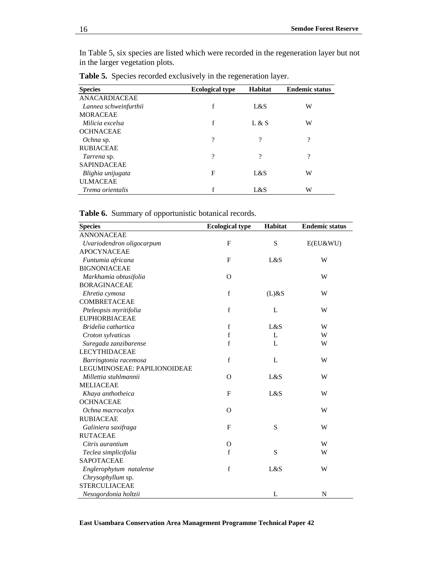In Table 5, six species are listed which were recorded in the regeneration layer but not in the larger vegetation plots.

| <b>Species</b>        | <b>Ecological type</b> | <b>Habitat</b> | <b>Endemic status</b> |
|-----------------------|------------------------|----------------|-----------------------|
| ANACARDIACEAE         |                        |                |                       |
| Lannea schweinfurthii | f                      | L&S            | W                     |
| <b>MORACEAE</b>       |                        |                |                       |
| Milicia excelsa       | f                      | L & S          | W                     |
| <b>OCHNACEAE</b>      |                        |                |                       |
| Ochna sp.             | ?                      | ?              | ?                     |
| <b>RUBIACEAE</b>      |                        |                |                       |
| Tarrena sp.           | 9                      | ?              | ?                     |
| <b>SAPINDACEAE</b>    |                        |                |                       |
| Blighia unijugata     | F                      | L&S            | W                     |
| <b>ULMACEAE</b>       |                        |                |                       |
| Trema orientalis      | f                      | L&S            | W                     |

**Table 5.** Species recorded exclusively in the regeneration layer.

|--|

| <b>Species</b>               | <b>Ecological type</b> | Habitat      | <b>Endemic status</b> |
|------------------------------|------------------------|--------------|-----------------------|
| <b>ANNONACEAE</b>            |                        |              |                       |
| Uvariodendron oligocarpum    | F                      | S            | $E(EU\&WU)$           |
| <b>APOCYNACEAE</b>           |                        |              |                       |
| Funtumia africana            | $\mathbf{F}$           | L&S          | W                     |
| <b>BIGNONIACEAE</b>          |                        |              |                       |
| Markhamia obtusifolia        | $\Omega$               |              | W                     |
| <b>BORAGINACEAE</b>          |                        |              |                       |
| Ehretia cymosa               | f                      | $(L)$ &S     | W                     |
| <b>COMBRETACEAE</b>          |                        |              |                       |
| Pteleopsis myritifolia       | f                      | L            | W                     |
| <b>EUPHORBIACEAE</b>         |                        |              |                       |
| Bridelia cathartica          | f                      | L&S          | W                     |
| Croton sylvaticus            | $\mathbf f$            | L            | W                     |
| Suregada zanzibarense        | $\mathbf f$            | $\mathbf{L}$ | W                     |
| <b>LECYTHIDACEAE</b>         |                        |              |                       |
| Barringtonia racemosa        | $\mathbf f$            | $\mathbf{L}$ | W                     |
| LEGUMINOSEAE: PAPILIONOIDEAE |                        |              |                       |
| Millettia stuhlmannii        | $\Omega$               | L&S          | W                     |
| <b>MELIACEAE</b>             |                        |              |                       |
| Khaya anthotheica            | $\mathbf{F}$           | L&S          | W                     |
| <b>OCHNACEAE</b>             |                        |              |                       |
| Ochna macrocalyx             | $\Omega$               |              | W                     |
| <b>RUBIACEAE</b>             |                        |              |                       |
| Galiniera saxifraga          | F                      | S            | W                     |
| <b>RUTACEAE</b>              |                        |              |                       |
| Citris aurantium             | $\mathcal{O}$          |              | W                     |
| Teclea simplicifolia         | f                      | S            | W                     |
| <b>SAPOTACEAE</b>            |                        |              |                       |
| Englerophytum natalense      | $\mathbf f$            | L&S          | W                     |
| Chrysophyllum sp.            |                        |              |                       |
| <b>STERCULIACEAE</b>         |                        |              |                       |
| Nesogordonia holtzii         |                        | L            | N                     |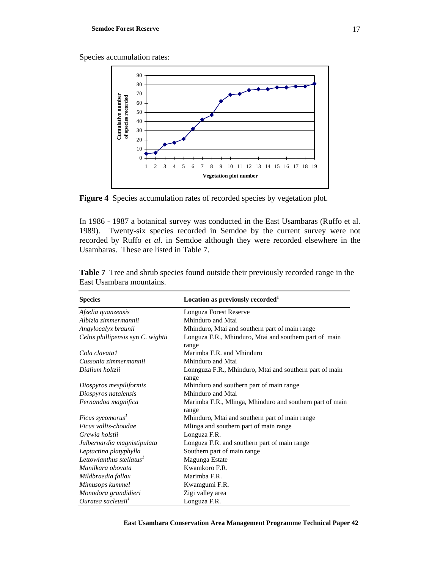Species accumulation rates:



**Figure 4** Species accumulation rates of recorded species by vegetation plot.

In 1986 - 1987 a botanical survey was conducted in the East Usambaras (Ruffo et al. 1989). Twenty-six species recorded in Semdoe by the current survey were not recorded by Ruffo *et al*. in Semdoe although they were recorded elsewhere in the Usambaras. These are listed in Table 7.

| <b>Species</b>                     | Location as previously recorded <sup>1</sup>                      |
|------------------------------------|-------------------------------------------------------------------|
| Afzelia quanzensis                 | Longuza Forest Reserve                                            |
| Albizia zimmermannii               | Mhinduro and Mtai                                                 |
| Angylocalyx braunii                | Mhinduro, Mtai and southern part of main range                    |
| Celtis phillipensis syn C. wightii | Longuza F.R., Mhinduro, Mtai and southern part of main<br>range   |
| Cola clavata1                      | Marimba F.R. and Mhinduro                                         |
| Cussonia zimmermannii              | Mhinduro and Mtai                                                 |
| Dialium holtzii                    | Lonnguza F.R., Mhinduro, Mtai and southern part of main<br>range  |
| Diospyros mespiliformis            | Mhinduro and southern part of main range                          |
| Diospyros natalensis               | Mhinduro and Mtai                                                 |
| Fernandoa magnifica                | Marimba F.R., Mlinga, Mhinduro and southern part of main<br>range |
| Ficus sycomorus <sup>1</sup>       | Mhinduro, Mtai and southern part of main range                    |
| Ficus vallis-choudae               | Mlinga and southern part of main range                            |
| Grewia holstii                     | Longuza F.R.                                                      |
| Julbernardia magnistipulata        | Longuza F.R. and southern part of main range                      |
| Leptactina platyphylla             | Southern part of main range                                       |
| Lettowianthus stellatus $1$        | Magunga Estate                                                    |
| Manilkara obovata                  | Kwamkoro F.R.                                                     |
| Mildbraedia fallax                 | Marimba F.R.                                                      |
| Mimusops kummel                    | Kwamgumi F.R.                                                     |
| Monodora grandidieri               | Zigi valley area                                                  |
| Ouratea sacleusii <sup>1</sup>     | Longuza F.R.                                                      |

**Table 7** Tree and shrub species found outside their previously recorded range in the East Usambara mountains.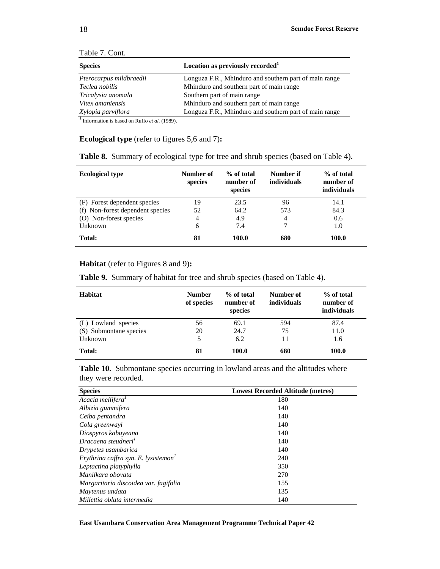| <b>Species</b>          | Location as previously recorded <sup>1</sup>           |
|-------------------------|--------------------------------------------------------|
| Pterocarpus mildbraedii | Longuza F.R., Mhinduro and southern part of main range |
| Teclea nobilis          | Mhinduro and southern part of main range               |
| Tricalysia anomala      | Southern part of main range                            |
| Vitex amaniensis        | Mhinduro and southern part of main range               |
| Xylopia parviflora      | Longuza F.R., Mhinduro and southern part of main range |

|  | Table 7. Cont. |  |  |
|--|----------------|--|--|
|--|----------------|--|--|

 $\frac{1}{1}$ Information is based on Ruffo *et al.* (1989).

### **Ecological type** (refer to figures 5,6 and 7)**:**

| <b>Ecological type</b>           | Number of<br>species | % of total<br>number of<br>species | Number if<br><i>individuals</i> | % of total<br>number of<br>individuals |
|----------------------------------|----------------------|------------------------------------|---------------------------------|----------------------------------------|
| (F) Forest dependent species     | 19                   | 23.5                               | 96                              | 14.1                                   |
| (f) Non-forest dependent species | 52                   | 64.2                               | 573                             | 84.3                                   |
| (O) Non-forest species           | 4                    | 4.9                                | 4                               | 0.6                                    |
| Unknown                          | 6                    | 7.4                                | 7                               | 1.0                                    |
| Total:                           | 81                   | 100.0                              | 680                             | 100.0                                  |

**Table 8.** Summary of ecological type for tree and shrub species (based on Table 4).

#### **Habitat** (refer to Figures 8 and 9)**:**

**Table 9.** Summary of habitat for tree and shrub species (based on Table 4).

| Habitat                | <b>Number</b><br>of species | % of total<br>number of<br>species | Number of<br>individuals | % of total<br>number of<br>individuals |
|------------------------|-----------------------------|------------------------------------|--------------------------|----------------------------------------|
| (L) Lowland species    | 56                          | 69.1                               | 594                      | 87.4                                   |
| (S) Submontane species | 20                          | 24.7                               | 75                       | 11.0                                   |
| Unknown                | 5                           | 6.2                                | 11                       | 1.6                                    |
| Total:                 | 81                          | 100.0                              | 680                      | 100.0                                  |

Table 10. Submontane species occurring in lowland areas and the altitudes where they were recorded.

| <b>Species</b>                                   | <b>Lowest Recorded Altitude (metres)</b> |
|--------------------------------------------------|------------------------------------------|
| Acacia mellifera <sup>1</sup>                    | 180                                      |
| Albizia gummifera                                | 140                                      |
| Ceiba pentandra                                  | 140                                      |
| Cola greenwayi                                   | 140                                      |
| Diospyros kabuyeana                              | 140                                      |
| Dracaena steudneri <sup>1</sup>                  | 140                                      |
| Drypetes usambarica                              | 140                                      |
| Erythrina caffra syn. E. lysistemon <sup>1</sup> | 240                                      |
| Leptactina platyphylla                           | 350                                      |
| Manilkara obovata                                | 270                                      |
| Margaritaria discoidea var. fagifolia            | 155                                      |
| Maytenus undata                                  | 135                                      |
| Millettia oblata intermedia                      | 140                                      |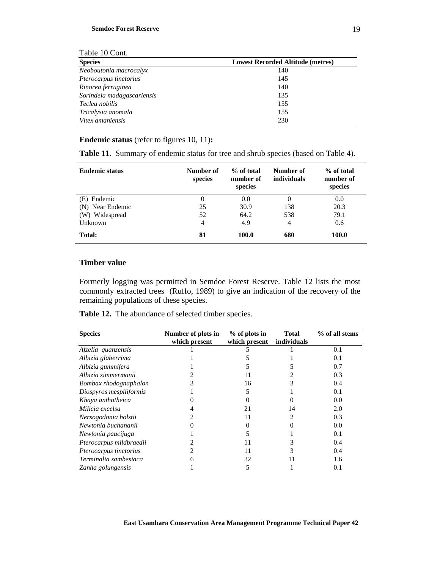| <b>Lowest Recorded Altitude (metres)</b> |  |  |
|------------------------------------------|--|--|
| 140                                      |  |  |
| 145                                      |  |  |
| 140                                      |  |  |
| 135                                      |  |  |
| 155                                      |  |  |
| 155                                      |  |  |
| 230                                      |  |  |
|                                          |  |  |

### Table 10 Cont.

### **Endemic status** (refer to figures 10, 11)**:**

|  |  |  | <b>Table 11.</b> Summary of endemic status for tree and shrub species (based on Table 4). |  |  |  |
|--|--|--|-------------------------------------------------------------------------------------------|--|--|--|
|--|--|--|-------------------------------------------------------------------------------------------|--|--|--|

| <b>Endemic status</b> | Number of<br>species | % of total<br>number of<br>species | Number of<br>individuals | % of total<br>number of<br>species |
|-----------------------|----------------------|------------------------------------|--------------------------|------------------------------------|
| (E) Endemic           | 0                    | 0.0                                | $\theta$                 | 0.0                                |
| (N) Near Endemic      | 25                   | 30.9                               | 138                      | 20.3                               |
| (W) Widespread        | 52                   | 64.2                               | 538                      | 79.1                               |
| Unknown               | $\overline{4}$       | 4.9                                | 4                        | 0.6                                |
| Total:                | 81                   | 100.0                              | 680                      | 100.0                              |

#### **Timber value**

l,

Formerly logging was permitted in Semdoe Forest Reserve. Table 12 lists the most commonly extracted trees (Ruffo, 1989) to give an indication of the recovery of the remaining populations of these species.

**Table 12.** The abundance of selected timber species.

| <b>Species</b>          | Number of plots in | % of plots in | <b>Total</b> | % of all stems |
|-------------------------|--------------------|---------------|--------------|----------------|
|                         | which present      | which present | individuals  |                |
| Afzelia quanzensis      |                    |               |              | 0.1            |
| Albizia glaberrima      |                    |               |              | 0.1            |
| Albizia gummifera       |                    |               |              | 0.7            |
| Albizia zimmermanii     |                    | 11            |              | 0.3            |
| Bombax rhodognaphalon   |                    | 16            |              | 0.4            |
| Diospyros mespiliformis |                    |               |              | 0.1            |
| Khaya anthotheica       |                    |               |              | 0.0            |
| Milicia excelsa         |                    | 21            | 14           | 2.0            |
| Nersogodonia holstii    |                    | 11            |              | 0.3            |
| Newtonia buchananii     |                    |               |              | 0.0            |
| Newtonia paucijuga      |                    |               |              | 0.1            |
| Pterocarpus mildbraedii |                    |               |              | 0.4            |
| Pterocarpus tinctorius  |                    | 11            |              | 0.4            |
| Terminalia sambesiaca   | h                  | 32            | 11           | 1.6            |
| Zanha golungensis       |                    | 5             |              | 0.1            |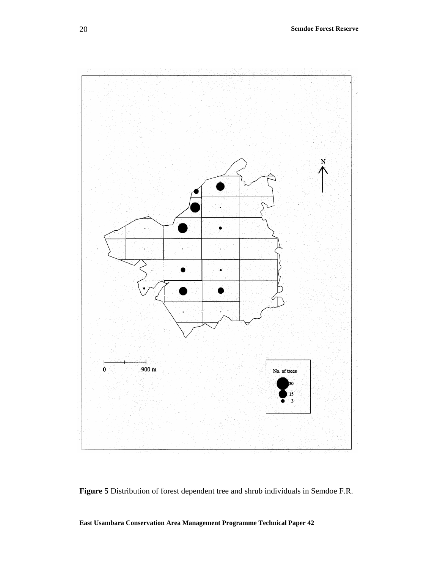

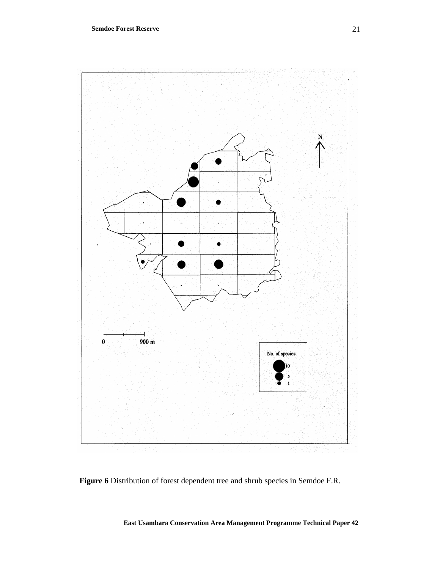

**Figure 6** Distribution of forest dependent tree and shrub species in Semdoe F.R.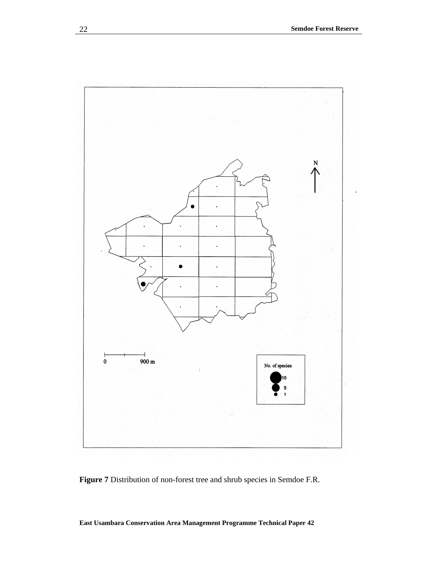

**Figure 7** Distribution of non-forest tree and shrub species in Semdoe F.R.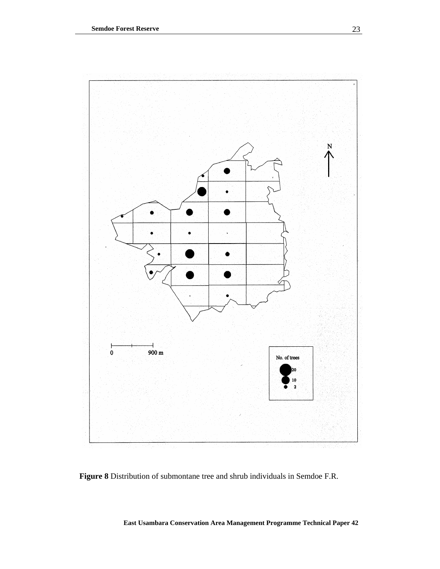

**Figure 8** Distribution of submontane tree and shrub individuals in Semdoe F.R.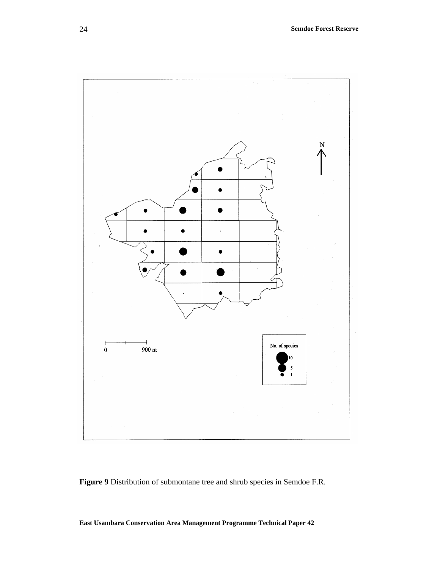

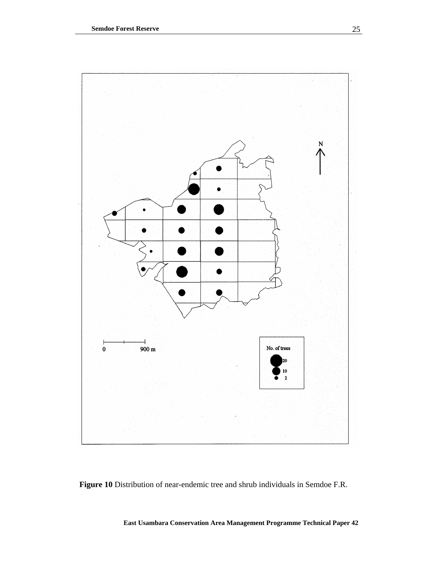

**Figure 10** Distribution of near-endemic tree and shrub individuals in Semdoe F.R.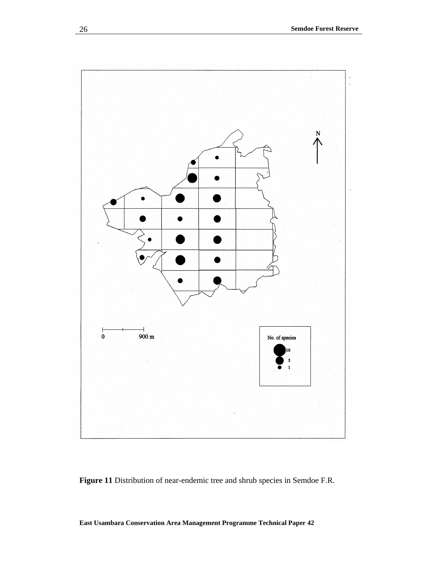

**Figure 11** Distribution of near-endemic tree and shrub species in Semdoe F.R.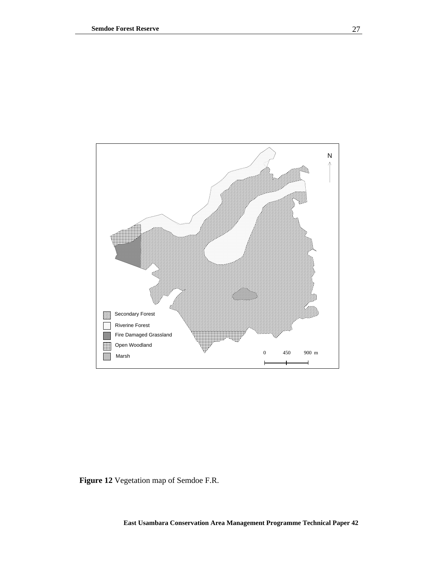

**Figure 12** Vegetation map of Semdoe F.R.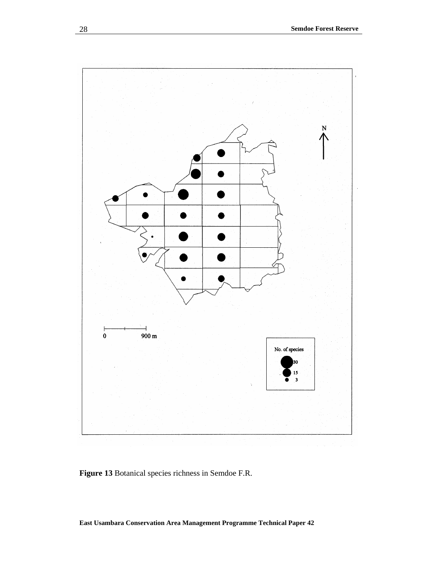

**Figure 13** Botanical species richness in Semdoe F.R.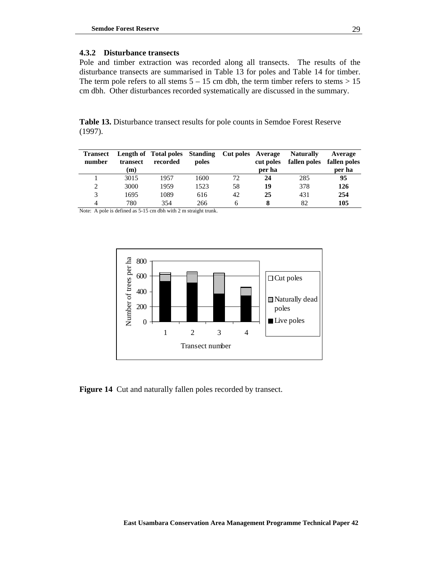### **4.3.2 Disturbance transects**

Pole and timber extraction was recorded along all transects. The results of the disturbance transects are summarised in Table 13 for poles and Table 14 for timber. The term pole refers to all stems  $5 - 15$  cm dbh, the term timber refers to stems  $> 15$ cm dbh. Other disturbances recorded systematically are discussed in the summary.

**Table 13.** Disturbance transect results for pole counts in Semdoe Forest Reserve (1997).

| <b>Transect</b><br>number | transect<br>(m) | Length of Total poles Standing Cut poles Average<br>recorded | poles |    | cut poles<br>per ha | <b>Naturally</b><br>fallen poles | Average<br>fallen poles<br>per ha |
|---------------------------|-----------------|--------------------------------------------------------------|-------|----|---------------------|----------------------------------|-----------------------------------|
|                           | 3015            | 1957                                                         | 1600  | 72 | 24                  | 285                              | 95                                |
| 2                         | 3000            | 1959                                                         | 1523  | 58 | 19                  | 378                              | 126                               |
| 3                         | 1695            | 1089                                                         | 616   | 42 | 25                  | 431                              | 254                               |
| 4                         | 780             | 354                                                          | 266   |    |                     | 82                               | 105                               |

Note: A pole is defined as 5-15 cm dbh with 2 m straight trunk.



**Figure 14** Cut and naturally fallen poles recorded by transect.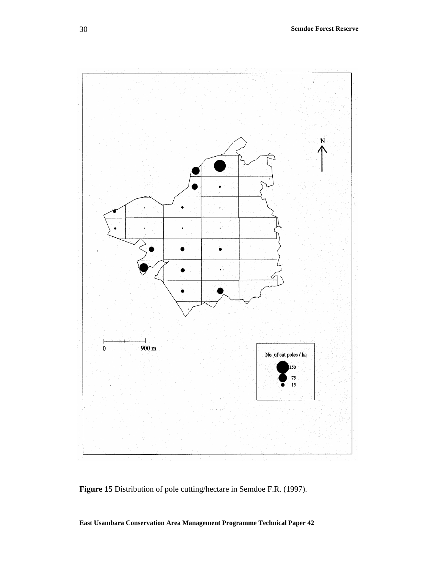

**Figure 15** Distribution of pole cutting/hectare in Semdoe F.R. (1997).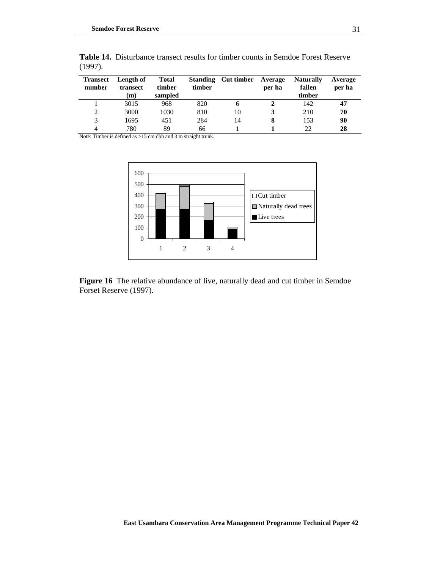| <b>Transect</b><br>number | Length of<br>transect<br>(m) | <b>Total</b><br>timber<br>sampled | timber | <b>Standing</b> Cut timber | Average<br>per ha | <b>Naturally</b><br>fallen<br>timber | Average<br>per ha |
|---------------------------|------------------------------|-----------------------------------|--------|----------------------------|-------------------|--------------------------------------|-------------------|
|                           | 3015                         | 968                               | 820    | n                          |                   | 142                                  | 47                |
| 2                         | 3000                         | 1030                              | 810    | 10                         |                   | 210                                  | 70                |
| 3                         | 1695                         | 451                               | 284    | 14                         |                   | 153                                  | 90                |
| 4                         | 780                          | 89                                | 66     |                            |                   | 22                                   | 28                |

**Table 14.** Disturbance transect results for timber counts in Semdoe Forest Reserve (1997).

Note: Timber is defined as >15 cm dbh and 3 m straight trunk.



**Figure 16** The relative abundance of live, naturally dead and cut timber in Semdoe Forset Reserve (1997).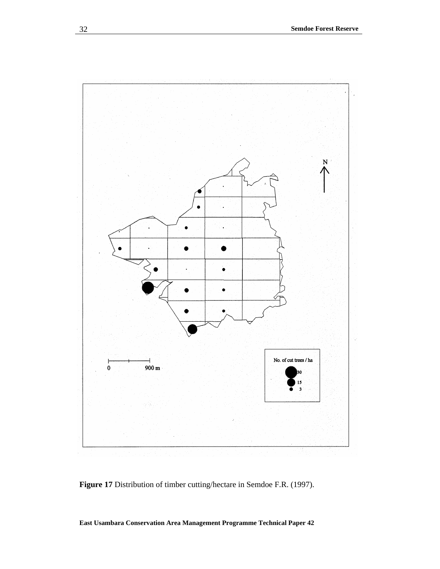

**Figure 17** Distribution of timber cutting/hectare in Semdoe F.R. (1997).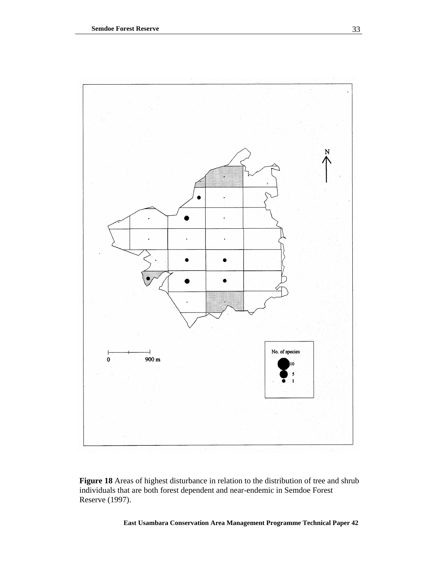

**Figure 18** Areas of highest disturbance in relation to the distribution of tree and shrub individuals that are both forest dependent and near-endemic in Semdoe Forest Reserve (1997).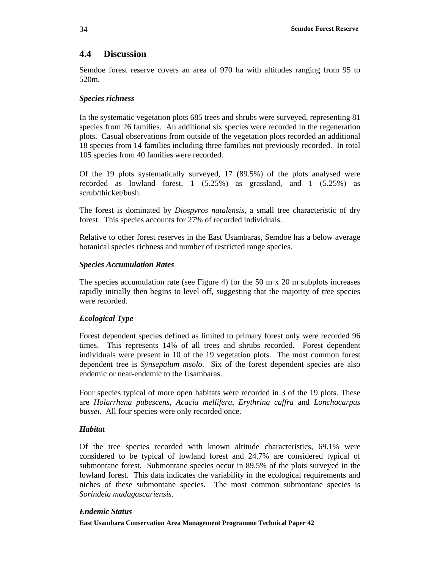### **4.4 Discussion**

Semdoe forest reserve covers an area of 970 ha with altitudes ranging from 95 to 520m.

### *Species richness*

In the systematic vegetation plots 685 trees and shrubs were surveyed, representing 81 species from 26 families. An additional six species were recorded in the regeneration plots. Casual observations from outside of the vegetation plots recorded an additional 18 species from 14 families including three families not previously recorded. In total 105 species from 40 families were recorded.

Of the 19 plots systematically surveyed, 17 (89.5%) of the plots analysed were recorded as lowland forest, 1 (5.25%) as grassland, and 1 (5.25%) as scrub/thicket/bush.

The forest is dominated by *Diospyros natalensis*, a small tree characteristic of dry forest. This species accounts for 27% of recorded individuals.

Relative to other forest reserves in the East Usambaras, Semdoe has a below average botanical species richness and number of restricted range species.

### *Species Accumulation Rates*

The species accumulation rate (see Figure 4) for the 50 m x 20 m subplots increases rapidly initially then begins to level off, suggesting that the majority of tree species were recorded.

### *Ecological Type*

Forest dependent species defined as limited to primary forest only were recorded 96 times. This represents 14% of all trees and shrubs recorded. Forest dependent individuals were present in 10 of the 19 vegetation plots. The most common forest dependent tree is *Synsepalum msolo*. Six of the forest dependent species are also endemic or near-endemic to the Usambaras.

Four species typical of more open habitats were recorded in 3 of the 19 plots. These are *Holarrhena pubescens*, *Acacia mellifera*, *Erythrina caffra* and *Lonchocarpus bussei*. All four species were only recorded once.

### *Habitat*

Of the tree species recorded with known altitude characteristics, 69.1% were considered to be typical of lowland forest and 24.7% are considered typical of submontane forest. Submontane species occur in 89.5% of the plots surveyed in the lowland forest. This data indicates the variability in the ecological requirements and niches of these submontane species. The most common submontane species is *Sorindeia madagascariensis*.

### *Endemic Status*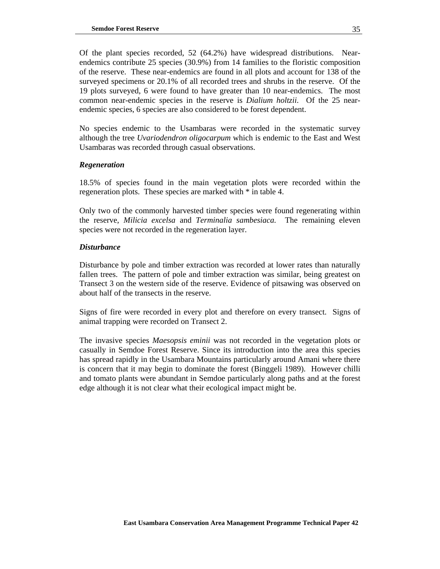Of the plant species recorded, 52 (64.2%) have widespread distributions. Nearendemics contribute 25 species (30.9%) from 14 families to the floristic composition of the reserve. These near-endemics are found in all plots and account for 138 of the surveyed specimens or 20.1% of all recorded trees and shrubs in the reserve. Of the 19 plots surveyed, 6 were found to have greater than 10 near-endemics. The most common near-endemic species in the reserve is *Dialium holtzii*. Of the 25 nearendemic species, 6 species are also considered to be forest dependent.

No species endemic to the Usambaras were recorded in the systematic survey although the tree *Uvariodendron oligocarpum* which is endemic to the East and West Usambaras was recorded through casual observations.

### *Regeneration*

18.5% of species found in the main vegetation plots were recorded within the regeneration plots. These species are marked with \* in table 4.

Only two of the commonly harvested timber species were found regenerating within the reserve, *Milicia excelsa* and *Terminalia sambesiaca.* The remaining eleven species were not recorded in the regeneration layer.

### *Disturbance*

Disturbance by pole and timber extraction was recorded at lower rates than naturally fallen trees. The pattern of pole and timber extraction was similar, being greatest on Transect 3 on the western side of the reserve. Evidence of pitsawing was observed on about half of the transects in the reserve.

Signs of fire were recorded in every plot and therefore on every transect. Signs of animal trapping were recorded on Transect 2.

The invasive species *Maesopsis eminii* was not recorded in the vegetation plots or casually in Semdoe Forest Reserve. Since its introduction into the area this species has spread rapidly in the Usambara Mountains particularly around Amani where there is concern that it may begin to dominate the forest (Binggeli 1989). However chilli and tomato plants were abundant in Semdoe particularly along paths and at the forest edge although it is not clear what their ecological impact might be.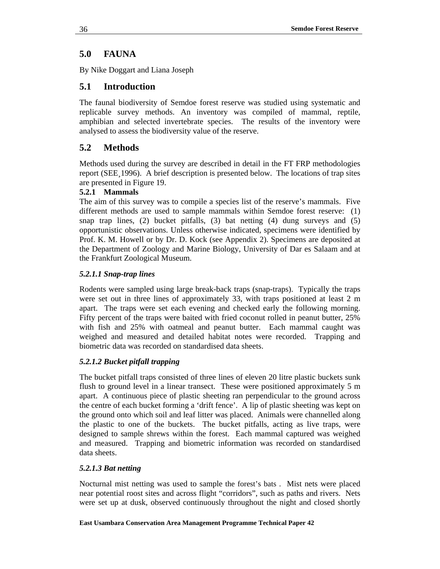# **5.0 FAUNA**

By Nike Doggart and Liana Joseph

# **5.1 Introduction**

The faunal biodiversity of Semdoe forest reserve was studied using systematic and replicable survey methods. An inventory was compiled of mammal, reptile, amphibian and selected invertebrate species. The results of the inventory were analysed to assess the biodiversity value of the reserve.

# **5.2 Methods**

Methods used during the survey are described in detail in the FT FRP methodologies report (SEE¸1996). A brief description is presented below. The locations of trap sites are presented in Figure 19.

### **5.2.1 Mammals**

The aim of this survey was to compile a species list of the reserve's mammals. Five different methods are used to sample mammals within Semdoe forest reserve: (1) snap trap lines, (2) bucket pitfalls, (3) bat netting (4) dung surveys and (5) opportunistic observations. Unless otherwise indicated, specimens were identified by Prof. K. M. Howell or by Dr. D. Kock (see Appendix 2). Specimens are deposited at the Department of Zoology and Marine Biology, University of Dar es Salaam and at the Frankfurt Zoological Museum.

## *5.2.1.1 Snap-trap lines*

Rodents were sampled using large break-back traps (snap-traps). Typically the traps were set out in three lines of approximately 33, with traps positioned at least 2 m apart. The traps were set each evening and checked early the following morning. Fifty percent of the traps were baited with fried coconut rolled in peanut butter, 25% with fish and 25% with oatmeal and peanut butter. Each mammal caught was weighed and measured and detailed habitat notes were recorded. Trapping and biometric data was recorded on standardised data sheets.

# *5.2.1.2 Bucket pitfall trapping*

The bucket pitfall traps consisted of three lines of eleven 20 litre plastic buckets sunk flush to ground level in a linear transect. These were positioned approximately 5 m apart. A continuous piece of plastic sheeting ran perpendicular to the ground across the centre of each bucket forming a 'drift fence'. A lip of plastic sheeting was kept on the ground onto which soil and leaf litter was placed. Animals were channelled along the plastic to one of the buckets. The bucket pitfalls, acting as live traps, were designed to sample shrews within the forest. Each mammal captured was weighed and measured. Trapping and biometric information was recorded on standardised data sheets.

### *5.2.1.3 Bat netting*

Nocturnal mist netting was used to sample the forest's bats . Mist nets were placed near potential roost sites and across flight "corridors", such as paths and rivers. Nets were set up at dusk, observed continuously throughout the night and closed shortly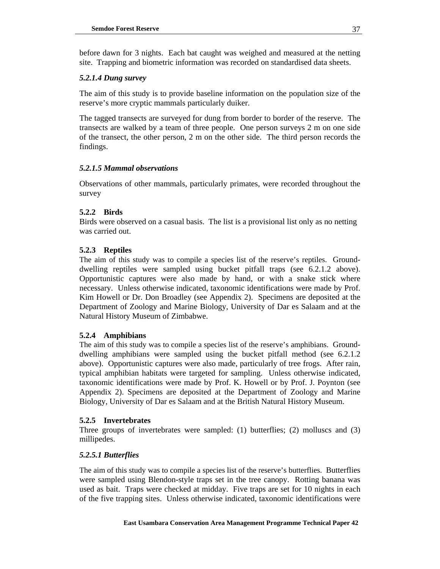before dawn for 3 nights. Each bat caught was weighed and measured at the netting site. Trapping and biometric information was recorded on standardised data sheets.

### *5.2.1.4 Dung survey*

The aim of this study is to provide baseline information on the population size of the reserve's more cryptic mammals particularly duiker.

The tagged transects are surveyed for dung from border to border of the reserve. The transects are walked by a team of three people. One person surveys 2 m on one side of the transect, the other person, 2 m on the other side. The third person records the findings.

### *5.2.1.5 Mammal observations*

Observations of other mammals, particularly primates, were recorded throughout the survey

### **5.2.2 Birds**

Birds were observed on a casual basis. The list is a provisional list only as no netting was carried out.

### **5.2.3 Reptiles**

The aim of this study was to compile a species list of the reserve's reptiles. Grounddwelling reptiles were sampled using bucket pitfall traps (see 6.2.1.2 above). Opportunistic captures were also made by hand, or with a snake stick where necessary. Unless otherwise indicated, taxonomic identifications were made by Prof. Kim Howell or Dr. Don Broadley (see Appendix 2). Specimens are deposited at the Department of Zoology and Marine Biology, University of Dar es Salaam and at the Natural History Museum of Zimbabwe.

### **5.2.4 Amphibians**

The aim of this study was to compile a species list of the reserve's amphibians. Grounddwelling amphibians were sampled using the bucket pitfall method (see 6.2.1.2 above). Opportunistic captures were also made, particularly of tree frogs. After rain, typical amphibian habitats were targeted for sampling. Unless otherwise indicated, taxonomic identifications were made by Prof. K. Howell or by Prof. J. Poynton (see Appendix 2). Specimens are deposited at the Department of Zoology and Marine Biology, University of Dar es Salaam and at the British Natural History Museum.

### **5.2.5 Invertebrates**

Three groups of invertebrates were sampled: (1) butterflies; (2) molluscs and (3) millipedes.

### *5.2.5.1 Butterflies*

The aim of this study was to compile a species list of the reserve's butterflies. Butterflies were sampled using Blendon-style traps set in the tree canopy. Rotting banana was used as bait. Traps were checked at midday. Five traps are set for 10 nights in each of the five trapping sites. Unless otherwise indicated, taxonomic identifications were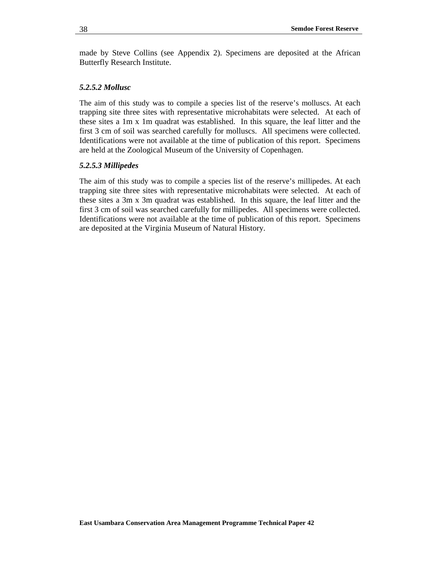made by Steve Collins (see Appendix 2). Specimens are deposited at the African Butterfly Research Institute.

### *5.2.5.2 Mollusc*

The aim of this study was to compile a species list of the reserve's molluscs. At each trapping site three sites with representative microhabitats were selected. At each of these sites a 1m x 1m quadrat was established. In this square, the leaf litter and the first 3 cm of soil was searched carefully for molluscs. All specimens were collected. Identifications were not available at the time of publication of this report. Specimens are held at the Zoological Museum of the University of Copenhagen.

### *5.2.5.3 Millipedes*

The aim of this study was to compile a species list of the reserve's millipedes. At each trapping site three sites with representative microhabitats were selected. At each of these sites a 3m x 3m quadrat was established. In this square, the leaf litter and the first 3 cm of soil was searched carefully for millipedes. All specimens were collected. Identifications were not available at the time of publication of this report. Specimens are deposited at the Virginia Museum of Natural History.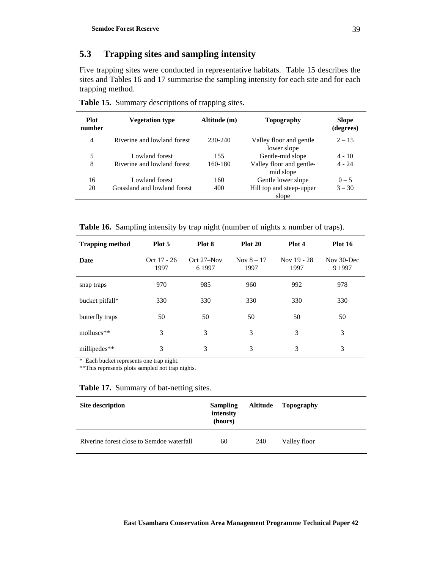# **5.3 Trapping sites and sampling intensity**

Five trapping sites were conducted in representative habitats. Table 15 describes the sites and Tables 16 and 17 summarise the sampling intensity for each site and for each trapping method.

| <b>Plot</b><br>number | <b>Vegetation type</b>       | Altitude (m) | Topography                             | <b>Slope</b><br>(degrees) |
|-----------------------|------------------------------|--------------|----------------------------------------|---------------------------|
| 4                     | Riverine and lowland forest  | 230-240      | Valley floor and gentle<br>lower slope | $2 - 15$                  |
| 5                     | Lowland forest               | 155          | Gentle-mid slope                       | $4 - 10$                  |
| 8                     | Riverine and lowland forest  | 160-180      | Valley floor and gentle-<br>mid slope  | $4 - 24$                  |
| 16                    | Lowland forest               | 160          | Gentle lower slope                     | $0 - 5$                   |
| 20                    | Grassland and lowland forest | 400          | Hill top and steep-upper<br>slope      | $3 - 30$                  |

**Table 15.** Summary descriptions of trapping sites.

**Table 16.** Sampling intensity by trap night (number of nights x number of traps).

| <b>Trapping method</b> | Plot 5                | Plot 8                 | Plot 20              | Plot 4              | <b>Plot 16</b>          |
|------------------------|-----------------------|------------------------|----------------------|---------------------|-------------------------|
| Date                   | $Oct 17 - 26$<br>1997 | $Oct 27-Nov$<br>6 1997 | Nov $8 - 17$<br>1997 | Nov 19 - 28<br>1997 | Nov 30-Dec<br>9 1 9 9 7 |
| snap traps             | 970                   | 985                    | 960                  | 992                 | 978                     |
| bucket pitfall*        | 330                   | 330                    | 330                  | 330                 | 330                     |
| butterfly traps        | 50                    | 50                     | 50                   | 50                  | 50                      |
| $molluscs**$           | 3                     | 3                      | 3                    | 3                   | 3                       |
| millipedes**           | 3                     | 3                      | 3                    | 3                   | 3                       |

\* Each bucket represents one trap night.

\*\*This represents plots sampled not trap nights.

### **Table 17.** Summary of bat-netting sites.

| <b>Site description</b>                   | <b>Sampling</b><br>intensity<br>(hours) | <b>Altitude</b> | Topography   |
|-------------------------------------------|-----------------------------------------|-----------------|--------------|
| Riverine forest close to Semdoe waterfall | 60                                      | 240             | Valley floor |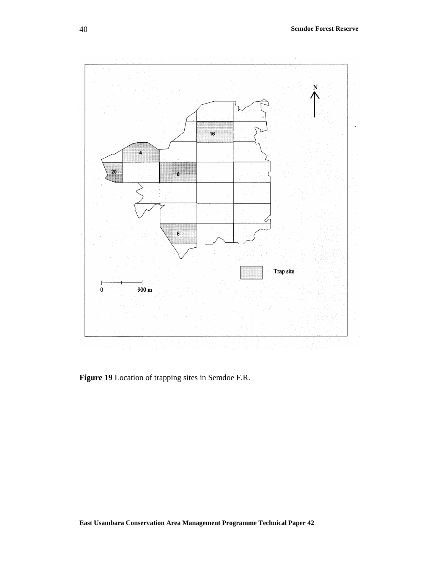

**Figure 19** Location of trapping sites in Semdoe F.R.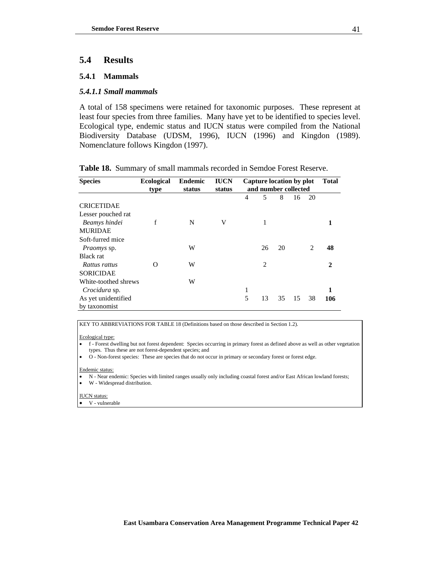# **5.4 Results**

### **5.4.1 Mammals**

### *5.4.1.1 Small mammals*

A total of 158 specimens were retained for taxonomic purposes. These represent at least four species from three families. Many have yet to be identified to species level. Ecological type, endemic status and IUCN status were compiled from the National Biodiversity Database (UDSM, 1996), IUCN (1996) and Kingdon (1989). Nomenclature follows Kingdon (1997).

| <b>Species</b>       | <b>Ecological</b><br>type | <b>Endemic</b><br>status | <b>IUCN</b><br>status | Capture location by plot<br>and number collected |                |    |    | <b>Total</b>   |     |
|----------------------|---------------------------|--------------------------|-----------------------|--------------------------------------------------|----------------|----|----|----------------|-----|
|                      |                           |                          |                       | $\overline{4}$                                   | 5              | 8  | 16 | 20             |     |
| <b>CRICETIDAE</b>    |                           |                          |                       |                                                  |                |    |    |                |     |
| Lesser pouched rat   |                           |                          |                       |                                                  |                |    |    |                |     |
| Beamys hindei        | f                         | N                        | V                     |                                                  | 1              |    |    |                |     |
| <b>MURIDAE</b>       |                           |                          |                       |                                                  |                |    |    |                |     |
| Soft-furred mice     |                           |                          |                       |                                                  |                |    |    |                |     |
| <i>Praomys</i> sp.   |                           | W                        |                       |                                                  | 26             | 20 |    | $\overline{c}$ | 48  |
| Black rat            |                           |                          |                       |                                                  |                |    |    |                |     |
| Rattus rattus        | O                         | W                        |                       |                                                  | $\overline{2}$ |    |    |                | 2   |
| <b>SORICIDAE</b>     |                           |                          |                       |                                                  |                |    |    |                |     |
| White-toothed shrews |                           | W                        |                       |                                                  |                |    |    |                |     |
| Crocidura sp.        |                           |                          |                       | 1                                                |                |    |    |                |     |
| As yet unidentified  |                           |                          |                       | 5                                                | 13             | 35 | 15 | 38             | 106 |
| by taxonomist        |                           |                          |                       |                                                  |                |    |    |                |     |

**Table 18.** Summary of small mammals recorded in Semdoe Forest Reserve.

KEY TO ABBREVIATIONS FOR TABLE 18 (Definitions based on those described in Section 1.2).

#### Ecological type:

- f Forest dwelling but not forest dependent: Species occurring in primary forest as defined above as well as other vegetation types. Thus these are not forest-dependent species; and
- O Non-forest species: These are species that do not occur in primary or secondary forest or forest edge.

#### Endemic status:

- N Near endemic: Species with limited ranges usually only including coastal forest and/or East African lowland forests;
- W Widespread distribution.

#### IUCN status:

• V - vulnerable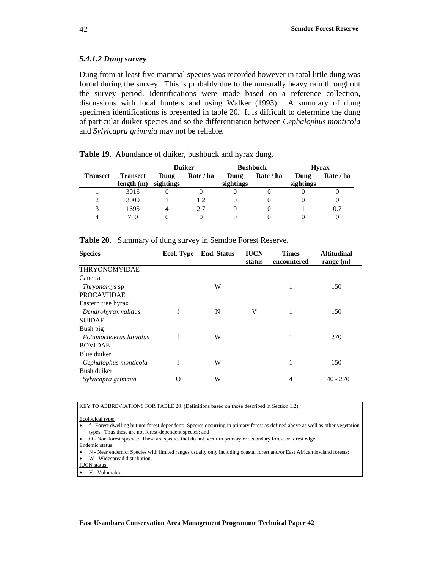### *5.4.1.2 Dung survey*

Dung from at least five mammal species was recorded however in total little dung was found during the survey. This is probably due to the unusually heavy rain throughout the survey period. Identifications were made based on a reference collection, discussions with local hunters and using Walker (1993). A summary of dung specimen identifications is presented in table 20. It is difficult to determine the dung of particular duiker species and so the differentiation between *Cephalophus monticola* and *Sylvicapra grimmia* may not be reliable.

|                 |                                 |                   | <b>Duiker</b><br><b>Bushbuck</b> |                   |           | <b>Hyrax</b>      |           |  |
|-----------------|---------------------------------|-------------------|----------------------------------|-------------------|-----------|-------------------|-----------|--|
| <b>Transect</b> | <b>Transect</b><br>length $(m)$ | Dung<br>sightings | Rate / ha                        | Dung<br>sightings | Rate / ha | Dung<br>sightings | Rate / ha |  |
|                 | 3015                            |                   |                                  |                   |           |                   |           |  |
|                 | 3000                            |                   |                                  |                   |           |                   |           |  |
|                 | 1695                            |                   | 2.7                              |                   |           |                   | 0.7       |  |
|                 | 780                             |                   |                                  |                   |           |                   |           |  |

| Table 19. Abundance of duiker, bushbuck and hyrax dung. |
|---------------------------------------------------------|
|---------------------------------------------------------|

| <b>Species</b>         | <b>Ecol. Type</b> | <b>End.</b> Status | <b>IUCN</b> | <b>Times</b> | <b>Altitudinal</b> |
|------------------------|-------------------|--------------------|-------------|--------------|--------------------|
|                        |                   |                    | status      | encountered  | range $(m)$        |
| <b>THRYONOMYIDAE</b>   |                   |                    |             |              |                    |
| Cane rat               |                   |                    |             |              |                    |
| <i>Thryonomys</i> sp   |                   | W                  |             | 1            | 150                |
| <b>PROCAVIIDAE</b>     |                   |                    |             |              |                    |
| Eastern tree hyrax     |                   |                    |             |              |                    |
| Dendrohyrax validus    | f                 | N                  | V           | 1            | 150                |
| <b>SUIDAE</b>          |                   |                    |             |              |                    |
| Bush pig               |                   |                    |             |              |                    |
| Potamochoerus larvatus | f                 | W                  |             | 1            | 270                |
| <b>BOVIDAE</b>         |                   |                    |             |              |                    |
| Blue duiker            |                   |                    |             |              |                    |
| Cephalophus monticola  | f                 | W                  |             | 1            | 150                |
| Bush duiker            |                   |                    |             |              |                    |
| Sylvicapra grimmia     | O                 | W                  |             | 4            | $140 - 270$        |

**Table 20.** Summary of dung survey in Semdoe Forest Reserve.

KEY TO ABBREVIATIONS FOR TABLE 20 (Definitions based on those described in Section 1.2)

Ecological type:

• f - Forest dwelling but not forest dependent: Species occurring in primary forest as defined above as well as other vegetation types. Thus these are not forest-dependent species; and

• O - Non-forest species: These are species that do not occur in primary or secondary forest or forest edge.

Endemic status:

• N - Near endemic: Species with limited ranges usually only including coastal forest and/or East African lowland forests;

• W - Widespread distribution.

IUCN status:

• V - Vulnerable

42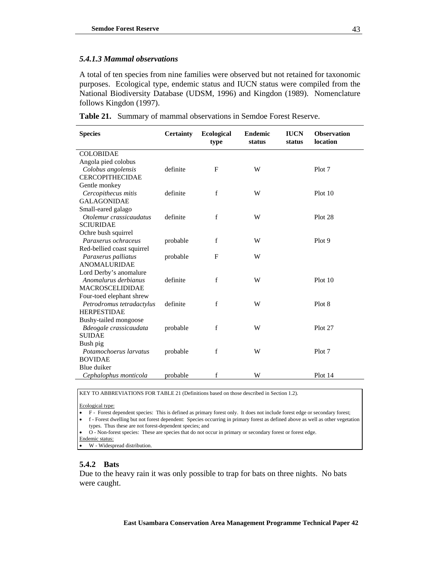### *5.4.1.3 Mammal observations*

A total of ten species from nine families were observed but not retained for taxonomic purposes. Ecological type, endemic status and IUCN status were compiled from the National Biodiversity Database (UDSM, 1996) and Kingdon (1989). Nomenclature follows Kingdon (1997).

|  |  |  |  |  | <b>Table 21.</b> Summary of mammal observations in Semdoe Forest Reserve. |
|--|--|--|--|--|---------------------------------------------------------------------------|
|--|--|--|--|--|---------------------------------------------------------------------------|

| <b>Species</b>             | <b>Certainty</b> | <b>Ecological</b><br>type | <b>Endemic</b><br>status | <b>IUCN</b><br>status | <b>Observation</b><br>location |
|----------------------------|------------------|---------------------------|--------------------------|-----------------------|--------------------------------|
| <b>COLOBIDAE</b>           |                  |                           |                          |                       |                                |
| Angola pied colobus        |                  |                           |                          |                       |                                |
| Colobus angolensis         | definite         | F                         | W                        |                       | Plot 7                         |
| <b>CERCOPITHECIDAE</b>     |                  |                           |                          |                       |                                |
| Gentle monkey              |                  |                           |                          |                       |                                |
| Cercopithecus mitis        | definite         | $\mathbf f$               | W                        |                       | Plot 10                        |
| <b>GALAGONIDAE</b>         |                  |                           |                          |                       |                                |
| Small-eared galago         |                  |                           |                          |                       |                                |
| Otolemur crassicaudatus    | definite         | $\mathbf f$               | W                        |                       | Plot 28                        |
| <b>SCIURIDAE</b>           |                  |                           |                          |                       |                                |
| Ochre bush squirrel        |                  |                           |                          |                       |                                |
| Paraxerus ochraceus        | probable         | f                         | W                        |                       | Plot 9                         |
| Red-bellied coast squirrel |                  |                           |                          |                       |                                |
| Paraxerus palliatus        | probable         | $\mathbf{F}$              | W                        |                       |                                |
| <b>ANOMALURIDAE</b>        |                  |                           |                          |                       |                                |
| Lord Derby's anomalure     |                  |                           |                          |                       |                                |
| Anomalurus derbianus       | definite         | f                         | W                        |                       | Plot 10                        |
| <b>MACROSCELIDIDAE</b>     |                  |                           |                          |                       |                                |
| Four-toed elephant shrew   |                  |                           |                          |                       |                                |
| Petrodromus tetradactylus  | definite         | f                         | W                        |                       | Plot 8                         |
| <b>HERPESTIDAE</b>         |                  |                           |                          |                       |                                |
| Bushy-tailed mongoose      |                  |                           |                          |                       |                                |
| Bdeogale crassicaudata     | probable         | f                         | W                        |                       | Plot 27                        |
| <b>SUIDAE</b>              |                  |                           |                          |                       |                                |
| Bush pig                   |                  |                           |                          |                       |                                |
| Potamochoerus larvatus     | probable         | f                         | W                        |                       | Plot 7                         |
| <b>BOVIDAE</b>             |                  |                           |                          |                       |                                |
| Blue duiker                |                  |                           |                          |                       |                                |
| Cephalophus monticola      | probable         | f                         | W                        |                       | Plot 14                        |

KEY TO ABBREVIATIONS FOR TABLE 21 (Definitions based on those described in Section 1.2).

Ecological type:

• F - Forest dependent species: This is defined as primary forest only. It does not include forest edge or secondary forest;

• f - Forest dwelling but not forest dependent: Species occurring in primary forest as defined above as well as other vegetation types. Thus these are not forest-dependent species; and

• O - Non-forest species: These are species that do not occur in primary or secondary forest or forest edge.

Endemic status:

• W - Widespread distribution.

### **5.4.2 Bats**

Due to the heavy rain it was only possible to trap for bats on three nights. No bats were caught.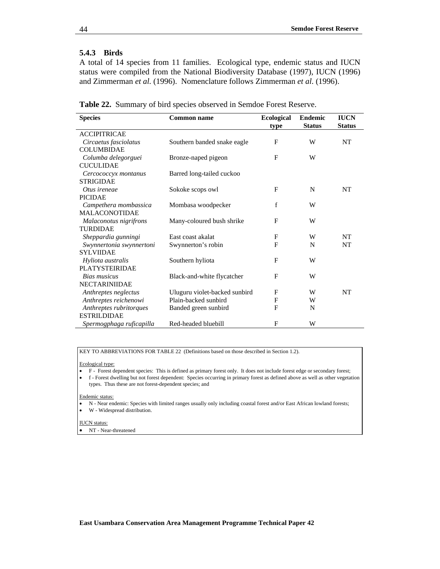### **5.4.3 Birds**

A total of 14 species from 11 families. Ecological type, endemic status and IUCN status were compiled from the National Biodiversity Database (1997), IUCN (1996) and Zimmerman *et al.* (1996). Nomenclature follows Zimmerman *et al*. (1996).

| <b>Species</b>           | <b>Common name</b>            | <b>Ecological</b> | <b>Endemic</b> | <b>IUCN</b>   |
|--------------------------|-------------------------------|-------------------|----------------|---------------|
|                          |                               | type              | <b>Status</b>  | <b>Status</b> |
| <b>ACCIPITRICAE</b>      |                               |                   |                |               |
| Circaetus fasciolatus    | Southern banded snake eagle   | F                 | W              | NT            |
| <b>COLUMBIDAE</b>        |                               |                   |                |               |
| Columba delegorguei      | Bronze-naped pigeon           | F                 | W              |               |
| <b>CUCULIDAE</b>         |                               |                   |                |               |
| Cercococcyx montanus     | Barred long-tailed cuckoo     |                   |                |               |
| <b>STRIGIDAE</b>         |                               |                   |                |               |
| Otus ireneae             | Sokoke scops owl              | F                 | N              | <b>NT</b>     |
| <b>PICIDAE</b>           |                               |                   |                |               |
| Campethera mombassica    | Mombasa woodpecker            | f                 | W              |               |
| <b>MALACONOTIDAE</b>     |                               |                   |                |               |
| Malaconotus nigrifrons   | Many-coloured bush shrike     | F                 | W              |               |
| <b>TURDIDAE</b>          |                               |                   |                |               |
| Sheppardia gunningi      | East coast akalat             | F                 | W              | NT.           |
| Swynnertonia swynnertoni | Swynnerton's robin            | $\mathbf{F}$      | N              | NT            |
| <b>SYLVIIDAE</b>         |                               |                   |                |               |
| Hyliota australis        | Southern hyliota              | $\mathbf{F}$      | W              |               |
| <b>PLATYSTEIRIDAE</b>    |                               |                   |                |               |
| Bias musicus             | Black-and-white flycatcher    | F                 | W              |               |
| <b>NECTARINIIDAE</b>     |                               |                   |                |               |
| Anthreptes neglectus     | Uluguru violet-backed sunbird | F                 | W              | <b>NT</b>     |
| Anthreptes reichenowi    | Plain-backed sunbird          | F                 | W              |               |
| Anthreptes rubritorques  | Banded green sunbird          | $\mathbf{F}$      | N              |               |
| <b>ESTRILDIDAE</b>       |                               |                   |                |               |
| Spermogphaga ruficapilla | Red-headed bluebill           | F                 | W              |               |

**Table 22.** Summary of bird species observed in Semdoe Forest Reserve.

KEY TO ABBREVIATIONS FOR TABLE 22 (Definitions based on those described in Section 1.2).

#### Ecological type:

- F Forest dependent species: This is defined as primary forest only. It does not include forest edge or secondary forest;
- f Forest dwelling but not forest dependent: Species occurring in primary forest as defined above as well as other vegetation types. Thus these are not forest-dependent species; and

#### Endemic status:

- N Near endemic: Species with limited ranges usually only including coastal forest and/or East African lowland forests;
- W Widespread distribution.

#### IUCN status:

NT - Near-threatened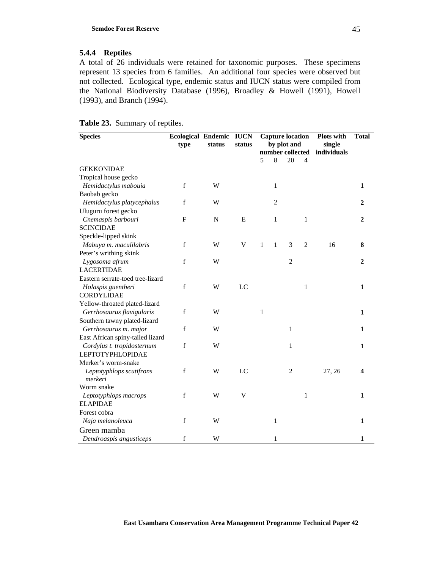### **5.4.4 Reptiles**

A total of 26 individuals were retained for taxonomic purposes. These specimens represent 13 species from 6 families. An additional four species were observed but not collected. Ecological type, endemic status and IUCN status were compiled from the National Biodiversity Database (1996), Broadley & Howell (1991), Howell (1993), and Branch (1994).

|  | Table 23. Summary of reptiles. |  |
|--|--------------------------------|--|
|--|--------------------------------|--|

| <b>Species</b>                      | <b>Ecological Endemic</b><br>type | status    | <b>IUCN</b><br>status | <b>Capture location</b><br>by plot and |                |                | <b>Plots with</b><br>single<br>number collected<br>individuals |        | <b>Total</b> |
|-------------------------------------|-----------------------------------|-----------|-----------------------|----------------------------------------|----------------|----------------|----------------------------------------------------------------|--------|--------------|
|                                     |                                   |           |                       | 5                                      | 8              | 20             | 4                                                              |        |              |
| <b>GEKKONIDAE</b>                   |                                   |           |                       |                                        |                |                |                                                                |        |              |
| Tropical house gecko                |                                   |           |                       |                                        |                |                |                                                                |        |              |
| Hemidactylus mabouia                | $\mathbf f$                       | W         |                       |                                        | $\mathbf{1}$   |                |                                                                |        | 1            |
| Baobab gecko                        |                                   |           |                       |                                        |                |                |                                                                |        |              |
| Hemidactylus platycephalus          | f                                 | W         |                       |                                        | $\overline{2}$ |                |                                                                |        | 2            |
| Uluguru forest gecko                |                                   |           |                       |                                        |                |                |                                                                |        |              |
| Cnemaspis barbouri                  | $\mathbf{F}$                      | ${\bf N}$ | E                     |                                        | 1              |                | 1                                                              |        | 2            |
| <b>SCINCIDAE</b>                    |                                   |           |                       |                                        |                |                |                                                                |        |              |
| Speckle-lipped skink                |                                   |           |                       |                                        |                |                |                                                                |        |              |
| Mabuya m. maculilabris              | $\mathbf f$                       | W         | $\mathbf V$           | 1                                      | $\mathbf{1}$   | 3              | $\overline{2}$                                                 | 16     | 8            |
| Peter's writhing skink              |                                   |           |                       |                                        |                |                |                                                                |        |              |
| Lygosoma afrum                      | $\mathbf f$                       | W         |                       |                                        |                | $\overline{c}$ |                                                                |        | 2            |
| <b>LACERTIDAE</b>                   |                                   |           |                       |                                        |                |                |                                                                |        |              |
| Eastern serrate-toed tree-lizard    |                                   |           |                       |                                        |                |                |                                                                |        |              |
| Holaspis guentheri                  | $\mathbf f$                       | W         | LC                    |                                        |                |                | $\mathbf{1}$                                                   |        | $\mathbf{1}$ |
| <b>CORDYLIDAE</b>                   |                                   |           |                       |                                        |                |                |                                                                |        |              |
| Yellow-throated plated-lizard       |                                   |           |                       |                                        |                |                |                                                                |        |              |
| Gerrhosaurus flavigularis           | f                                 | W         |                       | $\mathbf{1}$                           |                |                |                                                                |        | $\mathbf{1}$ |
| Southern tawny plated-lizard        |                                   |           |                       |                                        |                |                |                                                                |        |              |
| Gerrhosaurus m. major               | $\mathbf f$                       | W         |                       |                                        |                | $\mathbf{1}$   |                                                                |        | 1            |
| East African spiny-tailed lizard    |                                   |           |                       |                                        |                |                |                                                                |        |              |
| Cordylus t. tropidosternum          | $\mathbf f$                       | W         |                       |                                        |                | $\mathbf{1}$   |                                                                |        | 1            |
| <b>LEPTOTYPHLOPIDAE</b>             |                                   |           |                       |                                        |                |                |                                                                |        |              |
| Merker's worm-snake                 |                                   |           |                       |                                        |                |                |                                                                |        |              |
| Leptotyphlops scutifrons<br>merkeri | $\mathbf f$                       | W         | LC                    |                                        |                | $\overline{c}$ |                                                                | 27, 26 | 4            |
| Worm snake                          |                                   |           |                       |                                        |                |                |                                                                |        |              |
| Leptotyphlops macrops               | $\mathbf f$                       | W         | $\mathbf{V}$          |                                        |                |                | $\mathbf{1}$                                                   |        | $\mathbf{1}$ |
| <b>ELAPIDAE</b>                     |                                   |           |                       |                                        |                |                |                                                                |        |              |
| Forest cobra                        |                                   |           |                       |                                        |                |                |                                                                |        |              |
| Naja melanoleuca                    | $\mathbf f$                       | W         |                       |                                        | 1              |                |                                                                |        | $\mathbf{1}$ |
| Green mamba                         |                                   |           |                       |                                        |                |                |                                                                |        |              |
| Dendroaspis angusticeps             | $\mathbf f$                       | W         |                       |                                        | $\mathbf{1}$   |                |                                                                |        | 1            |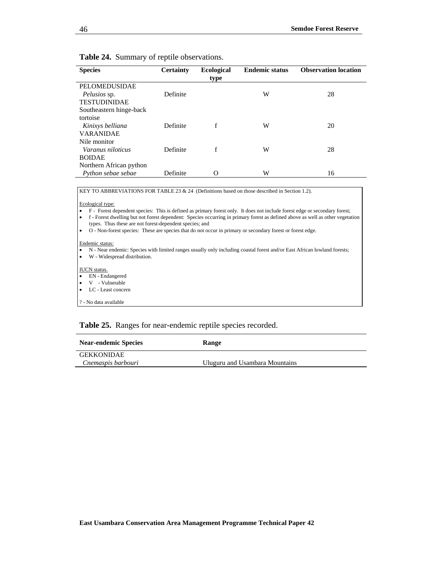### **Table 24.** Summary of reptile observations.

| <b>Species</b>          | <b>Certainty</b> | <b>Ecological</b> | <b>Endemic status</b> | <b>Observation location</b> |
|-------------------------|------------------|-------------------|-----------------------|-----------------------------|
|                         |                  | type              |                       |                             |
| PELOMEDUSIDAE           |                  |                   |                       |                             |
| <i>Pelusios</i> sp.     | Definite         |                   | W                     | 28                          |
| <b>TESTUDINIDAE</b>     |                  |                   |                       |                             |
| Southeastern hinge-back |                  |                   |                       |                             |
| tortoise                |                  |                   |                       |                             |
| Kinixys belliana        | Definite         | f                 | W                     | 20                          |
| <b>VARANIDAE</b>        |                  |                   |                       |                             |
| Nile monitor            |                  |                   |                       |                             |
| Varanus niloticus       | Definite         | f                 | W                     | 28                          |
| <b>BOIDAE</b>           |                  |                   |                       |                             |
| Northern African python |                  |                   |                       |                             |
| Python sebae sebae      | Definite         | Ω                 | W                     | 16                          |

KEY TO ABBREVIATIONS FOR TABLE 23 & 24 (Definitions based on those described in Section 1.2).

Ecological type:

• F - Forest dependent species: This is defined as primary forest only. It does not include forest edge or secondary forest;

• f - Forest dwelling but not forest dependent: Species occurring in primary forest as defined above as well as other vegetation types. Thus these are not forest-dependent species; and

• O - Non-forest species: These are species that do not occur in primary or secondary forest or forest edge.

#### Endemic status:

• N - Near endemic: Species with limited ranges usually only including coastal forest and/or East African lowland forests;

• W - Widespread distribution.

#### IUCN status.

- EN Endangered
- V Vulnerable
- LC Least concern

? - No data available

### **Table 25.** Ranges for near-endemic reptile species recorded.

| <b>Near-endemic Species</b> | Range                          |
|-----------------------------|--------------------------------|
| <b>GEKKONIDAE</b>           |                                |
| Cnemaspis barbouri          | Uluguru and Usambara Mountains |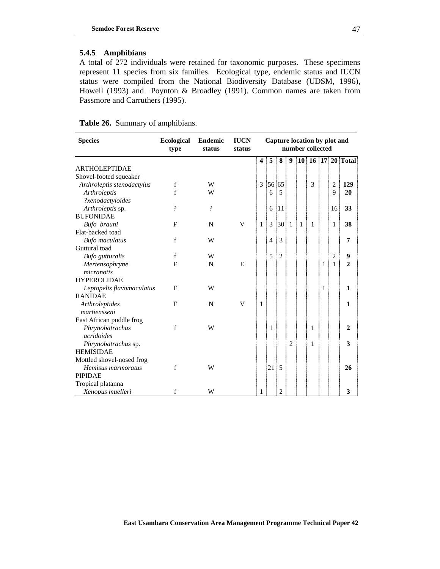### **5.4.5 Amphibians**

A total of 272 individuals were retained for taxonomic purposes. These specimens represent 11 species from six families. Ecological type, endemic status and IUCN status were compiled from the National Biodiversity Database (UDSM, 1996), Howell (1993) and Poynton & Broadley (1991). Common names are taken from Passmore and Carruthers (1995).

|  |  |  | <b>Table 26.</b> Summary of amphibians. |  |
|--|--|--|-----------------------------------------|--|
|--|--|--|-----------------------------------------|--|

| <b>Species</b>             | <b>Ecological</b><br>type | <b>Endemic</b><br>status | <b>IUCN</b><br>status |                         |                |                |                |   | Capture location by plot and<br>number collected |              |                |                           |
|----------------------------|---------------------------|--------------------------|-----------------------|-------------------------|----------------|----------------|----------------|---|--------------------------------------------------|--------------|----------------|---------------------------|
|                            |                           |                          |                       | $\overline{\mathbf{4}}$ | 5              | 8              | 9<br>÷         |   |                                                  |              |                | 10   16   17   20   Total |
| <b>ARTHOLEPTIDAE</b>       |                           |                          |                       |                         |                |                |                |   |                                                  |              |                |                           |
| Shovel-footed squeaker     |                           |                          |                       |                         |                |                |                |   |                                                  |              |                |                           |
| Arthroleptis stenodactylus | f                         | W                        |                       | 3                       |                | 56 65          |                |   | 3                                                |              | $\overline{c}$ | 129                       |
| Arthroleptis               | $\mathbf f$               | W                        |                       |                         | 6              | 5              |                |   |                                                  |              | 9              | 20                        |
| ?xenodactyloides           |                           |                          |                       |                         |                |                |                |   |                                                  |              |                |                           |
| Arthroleptis sp.           | $\gamma$                  | $\gamma$                 |                       |                         | 6              | 11             |                |   |                                                  |              | 16!            | 33                        |
| <b>BUFONIDAE</b>           |                           |                          |                       |                         |                |                |                |   |                                                  |              |                |                           |
| Bufo brauni                | $\mathbf{F}$              | N                        | V                     | $\mathbf{1}$            | 3              | 30 1           |                | 1 | 1                                                |              | 1              | 38                        |
| Flat-backed toad           |                           |                          |                       |                         |                |                |                |   |                                                  |              |                |                           |
| <b>Bufo</b> maculatus      | $\mathbf f$               | W                        |                       |                         | $\overline{4}$ | 3              |                |   |                                                  |              |                | 7                         |
| Guttural toad              |                           |                          |                       |                         |                |                |                |   |                                                  |              |                |                           |
| <b>Bufo</b> gutturalis     | $\mathbf f$               | W                        |                       |                         | 5              | $\overline{c}$ |                |   |                                                  |              | $\overline{c}$ | 9                         |
| Mertensophryne             | $\mathbf{F}$              | N                        | E                     |                         |                |                |                |   |                                                  | 1            | $\mathbf{1}$   | $\overline{2}$            |
| micranotis                 |                           |                          |                       |                         |                |                |                |   |                                                  |              |                |                           |
| <b>HYPEROLIDAE</b>         |                           |                          |                       |                         |                |                |                |   |                                                  |              |                |                           |
| Leptopelis flavomaculatus  | $\mathbf{F}$              | W                        |                       |                         |                |                |                |   |                                                  | $\mathbf{1}$ |                | $\mathbf{1}$              |
| <b>RANIDAE</b>             |                           |                          |                       |                         |                |                |                |   |                                                  |              |                |                           |
| Arthroleptides             | $_{\rm F}$                | $\mathbf N$              | V                     | 1                       |                |                |                |   |                                                  |              |                | $\mathbf{1}$              |
| martiensseni               |                           |                          |                       |                         |                |                |                |   |                                                  |              |                |                           |
| East African puddle frog   |                           |                          |                       |                         |                |                |                |   |                                                  |              |                |                           |
| Phrynobatrachus            | $\mathbf f$               | W                        |                       |                         | 1              |                |                |   | 1                                                |              |                | $\overline{2}$            |
| acridoides                 |                           |                          |                       |                         |                |                |                |   |                                                  |              |                |                           |
| Phrynobatrachus sp.        |                           |                          |                       |                         |                |                | $\overline{2}$ |   | 1                                                |              |                | 3                         |
| <b>HEMISIDAE</b>           |                           |                          |                       |                         |                |                |                |   |                                                  |              |                |                           |
| Mottled shovel-nosed frog  |                           |                          |                       |                         |                |                |                |   |                                                  |              |                |                           |
| Hemisus marmoratus         | $\mathbf f$               | W                        |                       |                         | 21             | 5              |                |   |                                                  |              |                | 26                        |
| <b>PIPIDAE</b>             |                           |                          |                       |                         |                |                |                |   |                                                  |              |                |                           |
| Tropical platanna          |                           |                          |                       |                         |                |                |                |   |                                                  |              |                |                           |
| Xenopus muelleri           | f                         | W                        |                       | 1                       |                | $\overline{c}$ |                |   |                                                  |              |                | 3                         |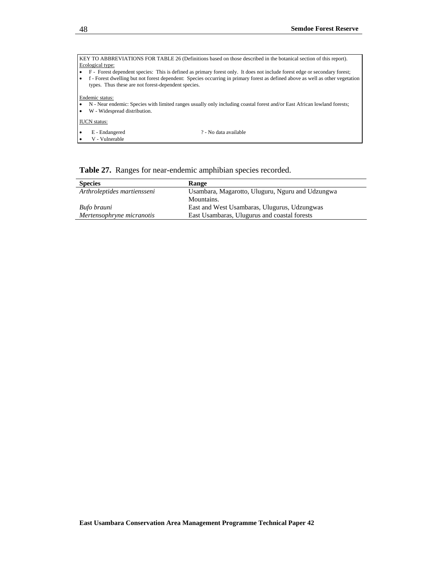| KEY TO ABBREVIATIONS FOR TABLE 26 (Definitions based on those described in the botanical section of this report).              |  |  |  |  |  |  |
|--------------------------------------------------------------------------------------------------------------------------------|--|--|--|--|--|--|
| Ecological type:                                                                                                               |  |  |  |  |  |  |
| F - Forest dependent species: This is defined as primary forest only. It does not include forest edge or secondary forest;     |  |  |  |  |  |  |
| f - Forest dwelling but not forest dependent: Species occurring in primary forest as defined above as well as other vegetation |  |  |  |  |  |  |
| types. Thus these are not forest-dependent species.                                                                            |  |  |  |  |  |  |
|                                                                                                                                |  |  |  |  |  |  |
| Endemic status:                                                                                                                |  |  |  |  |  |  |
| N - Near endemic: Species with limited ranges usually only including coastal forest and/or East African lowland forests;       |  |  |  |  |  |  |
| W - Widespread distribution.                                                                                                   |  |  |  |  |  |  |
|                                                                                                                                |  |  |  |  |  |  |
| <b>IUCN</b> status:                                                                                                            |  |  |  |  |  |  |
| E - Endangered<br>? - No data available<br>٠                                                                                   |  |  |  |  |  |  |
| V - Vulnerable                                                                                                                 |  |  |  |  |  |  |
|                                                                                                                                |  |  |  |  |  |  |

## **Table 27.** Ranges for near-endemic amphibian species recorded.

| <b>Species</b>              | Range                                            |
|-----------------------------|--------------------------------------------------|
| Arthroleptides martiensseni | Usambara, Magarotto, Uluguru, Nguru and Udzungwa |
|                             | Mountains.                                       |
| Bufo brauni                 | East and West Usambaras, Ulugurus, Udzungwas     |
| Mertensophryne micranotis   | East Usambaras, Ulugurus and coastal forests     |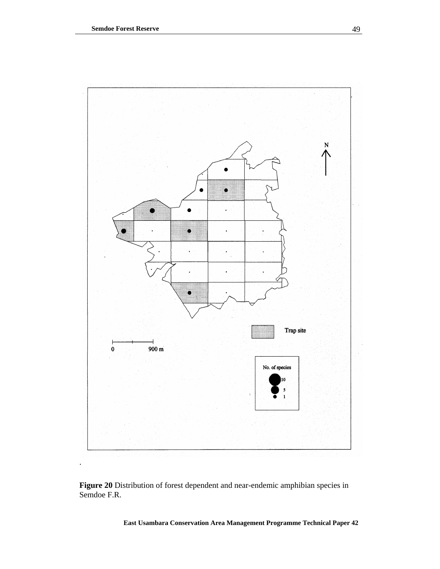

**Figure 20** Distribution of forest dependent and near-endemic amphibian species in Semdoe F.R.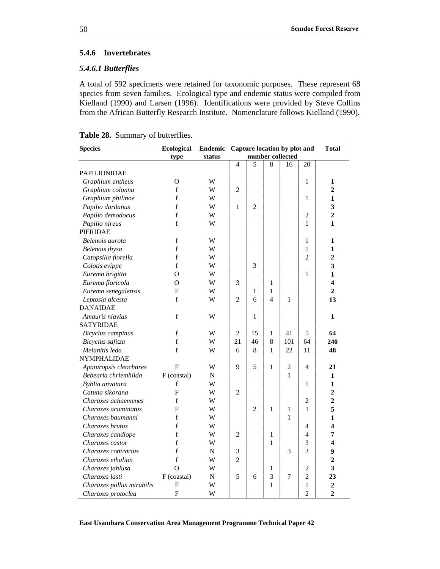### **5.4.6 Invertebrates**

### *5.4.6.1 Butterflies*

A total of 592 specimens were retained for taxonomic purposes. These represent 68 species from seven families. Ecological type and endemic status were compiled from Kielland (1990) and Larsen (1996). Identifications were provided by Steve Collins from the African Butterfly Research Institute. Nomenclature follows Kielland (1990).

|  |  | Table 28. Summary of butterflies. |
|--|--|-----------------------------------|
|--|--|-----------------------------------|

| <b>Species</b>            | Ecological  |           | Endemic Capture location by plot and |                |                          |              | <b>Total</b>   |                         |
|---------------------------|-------------|-----------|--------------------------------------|----------------|--------------------------|--------------|----------------|-------------------------|
|                           | type        | status    | number collected                     |                |                          |              |                |                         |
|                           |             |           | $\overline{4}$                       | 5              | 8                        | 16           | 20             |                         |
| <b>PAPILIONIDAE</b>       |             |           |                                      |                |                          |              |                |                         |
| Graphium antheus          | O           | W         |                                      |                |                          |              | 1              | 1                       |
| Graphium colonna          | f           | W         | $\overline{2}$                       |                |                          |              |                | $\overline{2}$          |
| Graphium philinoe         | $\mathbf f$ | W         |                                      |                |                          |              | $\mathbf{1}$   | 1                       |
| Papilio dardanus          | f           | W         | $\mathbf{1}$                         | $\overline{2}$ |                          |              |                | 3                       |
| Papilio demodocus         | $\mathbf f$ | W         |                                      |                |                          |              | $\overline{c}$ | $\overline{2}$          |
| Papilio nireus            | f           | W         |                                      |                |                          |              | 1              | $\mathbf{1}$            |
| <b>PIERIDAE</b>           |             |           |                                      |                |                          |              |                |                         |
| Belenois aurota           | f           | W         |                                      |                |                          |              | $\mathbf{1}$   | 1                       |
| Belenois thysa            | $\mathbf f$ | W         |                                      |                |                          |              | 1              | $\mathbf{1}$            |
| Catopsilla florella       | $\mathbf f$ | W         |                                      |                |                          |              | $\overline{c}$ | $\overline{2}$          |
| Colotis evippe            | $\mathbf f$ | W         |                                      | 3              |                          |              |                | 3                       |
| Eurema brigitta           | O           | W         |                                      |                |                          |              | 1              | 1                       |
| Eurema floricola          | O           | W         | 3                                    |                | $\mathbf{1}$             |              |                | $\overline{\mathbf{4}}$ |
| Eurema senegalensis       | F           | W         |                                      | $\mathbf{1}$   | 1                        |              |                | $\overline{2}$          |
| Leptosia alcesta          | f           | W         | $\overline{2}$                       | 6              | $\overline{\mathcal{L}}$ | $\mathbf{1}$ |                | 13                      |
| <b>DANAIDAE</b>           |             |           |                                      |                |                          |              |                |                         |
| Amauris niavius           | $\mathbf f$ | W         |                                      | $\mathbf{1}$   |                          |              |                | 1                       |
| <b>SATYRIDAE</b>          |             |           |                                      |                |                          |              |                |                         |
| Bicyclus campinus         | $\mathbf f$ | W         | $\overline{2}$                       | 15             | 1                        | 41           | 5              | 64                      |
| Bicyclus safitza          | $\mathbf f$ | W         | 21                                   | 46             | 8                        | 101          | 64             | 240                     |
| Melanitis leda            | f           | W         | 6                                    | 8              | $\mathbf{1}$             | 22           | 11             | 48                      |
| <b>NYMPHALIDAE</b>        |             |           |                                      |                |                          |              |                |                         |
| Apaturopsis cleochares    | F           | W         | 9                                    | 5              | 1                        | 2            | 4              | 21                      |
| Bebearia chriemhilda      | F (coastal) | N         |                                      |                |                          | 1            |                | 1                       |
| Byblia anvatara           | f           | W         |                                      |                |                          |              | $\mathbf{1}$   | $\mathbf{1}$            |
| Catuna sikorana           | F           | W         | $\overline{2}$                       |                |                          |              |                | $\overline{\mathbf{c}}$ |
| Charaxes achaemenes       | f           | W         |                                      |                |                          |              | $\overline{c}$ | $\overline{2}$          |
| Charaxes acuminatus       | F           | W         |                                      | $\overline{2}$ | 1                        | $\mathbf{1}$ | 1              | 5                       |
| Charaxes baumanni         | f           | W         |                                      |                |                          | 1            |                | $\mathbf{1}$            |
| Charaxes brutus           | f           | W         |                                      |                |                          |              | 4              | 4                       |
| Charaxes candiope         | f           | W         | $\overline{2}$                       |                | 1                        |              | 4              | 7                       |
| Charaxes castor           | $\mathbf f$ | W         |                                      |                | 1                        |              | 3              | $\overline{\mathbf{4}}$ |
| Charaxes contrarius       | $\mathbf f$ | ${\bf N}$ | 3                                    |                |                          | 3            | 3              | 9                       |
| Charaxes ethalion         | f           | W         | $\overline{2}$                       |                |                          |              |                | $\overline{2}$          |
| Charaxes jahlusa          | O           | W         |                                      |                | 1                        |              | $\overline{c}$ | 3                       |
| Charaxes lasti            | F (coastal) | ${\bf N}$ | 5                                    | 6              | 3                        | 7            | $\overline{2}$ | 23                      |
| Charaxes pollux mirabilis | F           | W         |                                      |                | $\mathbf{1}$             |              | $\mathbf{1}$   | $\mathbf 2$             |
| Charaxes protoclea        | F           | W         |                                      |                |                          |              | $\overline{2}$ | $\overline{2}$          |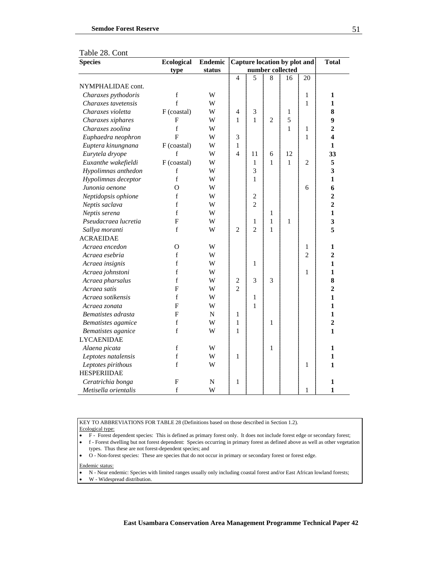| <b>Species</b>       | <b>Ecological</b> | <b>Endemic</b> | Capture location by plot and | <b>Total</b>     |                |              |                |                |
|----------------------|-------------------|----------------|------------------------------|------------------|----------------|--------------|----------------|----------------|
|                      | type              | status         |                              | number collected |                |              |                |                |
|                      |                   |                | $\overline{4}$               | 5                | 8              | 16           | 20             |                |
| NYMPHALIDAE cont.    |                   |                |                              |                  |                |              |                |                |
| Charaxes pythodoris  | $\mathbf f$       | W              |                              |                  |                |              | 1              | 1              |
| Charaxes tavetensis  | $\mathbf f$       | W              |                              |                  |                |              | 1              | $\mathbf{1}$   |
| Charaxes violetta    | F (coastal)       | W              | $\overline{\mathbf{4}}$      | 3                |                | 1            |                | 8              |
| Charaxes xiphares    | $\mathbf{F}$      | W              | $\mathbf{1}$                 | 1                | $\overline{2}$ | 5            |                | 9              |
| Charaxes zoolina     | $\mathbf f$       | W              |                              |                  |                | 1            | 1              | $\overline{2}$ |
| Euphaedra neophron   | $\overline{F}$    | W              | 3                            |                  |                |              | 1              | 4              |
| Euptera kinungnana   | F (coastal)       | W              | 1                            |                  |                |              |                | 1              |
| Eurytela dryope      | $\mathbf f$       | W              | $\overline{A}$               | 11               | 6              | 12           |                | 33             |
| Euxanthe wakefieldi  | F (coastal)       | W              |                              | $\mathbf{1}$     | $\mathbf{1}$   | $\mathbf{1}$ | $\overline{c}$ | 5              |
| Hypolimnas anthedon  | $\mathbf f$       | W              |                              | 3                |                |              |                | 3              |
| Hypolimnas deceptor  | f                 | W              |                              | $\mathbf{1}$     |                |              |                | $\mathbf{1}$   |
| Junonia oenone       | O                 | W              |                              |                  |                |              | 6              | 6              |
| Neptidopsis ophione  | f                 | W              |                              | $\overline{c}$   |                |              |                | $\overline{2}$ |
| Neptis saclava       | f                 | W              |                              | $\overline{2}$   |                |              |                | $\overline{2}$ |
| Neptis serena        | $\mathbf f$       | W              |                              |                  | 1              |              |                | $\mathbf{1}$   |
| Pseudacraea lucretia | F                 | W              |                              | $\mathbf{1}$     | 1              | $\mathbf{1}$ |                | 3              |
| Sallya moranti       | $\mathbf f$       | W              | $\overline{2}$               | $\overline{2}$   | 1              |              |                | 5              |
| <b>ACRAEIDAE</b>     |                   |                |                              |                  |                |              |                |                |
| Acraea encedon       | $\Omega$          | W              |                              |                  |                |              | 1              | 1              |
| Acraea esebria       | f                 | W              |                              |                  |                |              | $\overline{2}$ | $\overline{2}$ |
| Acraea insignis      | $\mathbf f$       | W              |                              | $\mathbf{1}$     |                |              |                | $\mathbf{1}$   |
| Acraea johnstoni     | $\mathbf f$       | W              |                              |                  |                |              | 1              | $\mathbf{1}$   |
| Acraea pharsalus     | $\mathbf f$       | W              | $\overline{c}$               | 3                | 3              |              |                | 8              |
| Acraea satis         | F                 | W              | $\overline{2}$               |                  |                |              |                | $\overline{2}$ |
| Acraea sotikensis    | $\mathbf f$       | W              |                              | $\mathbf{1}$     |                |              |                | $\mathbf{1}$   |
| Acraea zonata        | F                 | W              |                              | $\mathbf{1}$     |                |              |                | 1              |
| Bematistes adrasta   | F                 | N              | 1                            |                  |                |              |                | $\mathbf{1}$   |
| Bematistes agamice   | $\mathbf f$       | W              | $\mathbf{1}$                 |                  | 1              |              |                | $\overline{2}$ |
| Bematistes aganice   | $\mathbf f$       | W              | $\mathbf{1}$                 |                  |                |              |                | $\mathbf{1}$   |
| <b>LYCAENIDAE</b>    |                   |                |                              |                  |                |              |                |                |
| Alaena picata        | $\mathbf f$       | W              |                              |                  | $\mathbf{1}$   |              |                | 1              |
| Leptotes natalensis  | $\mathbf f$       | W              | 1                            |                  |                |              |                | 1              |
| Leptotes pirithous   | $\mathbf f$       | W              |                              |                  |                |              | 1              | $\mathbf{1}$   |
| <b>HESPERIIDAE</b>   |                   |                |                              |                  |                |              |                |                |
| Ceratrichia bonga    | F                 | ${\bf N}$      | 1                            |                  |                |              |                | 1              |
| Metisella orientalis | $\mathbf f$       | W              |                              |                  |                |              | 1              | $\mathbf{1}$   |

Table 28. Cont

KEY TO ABBREVIATIONS FOR TABLE 28 (Definitions based on those described in Section 1.2).

Ecological type:

• F - Forest dependent species: This is defined as primary forest only. It does not include forest edge or secondary forest;

• f - Forest dwelling but not forest dependent: Species occurring in primary forest as defined above as well as other vegetation types. Thus these are not forest-dependent species; and

• O - Non-forest species: These are species that do not occur in primary or secondary forest or forest edge.

Endemic status:

- N Near endemic: Species with limited ranges usually only including coastal forest and/or East African lowland forests;
- W Widespread distribution.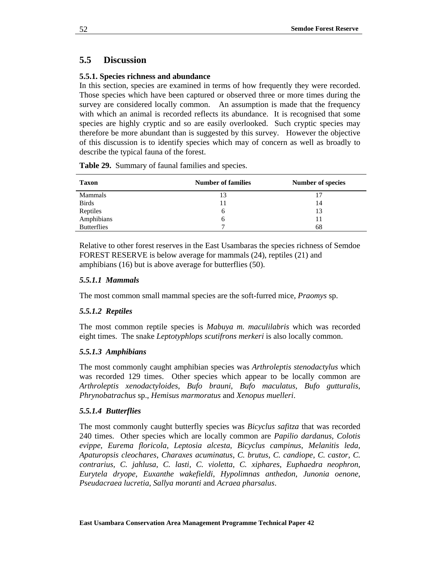# **5.5 Discussion**

### **5.5.1. Species richness and abundance**

In this section, species are examined in terms of how frequently they were recorded. Those species which have been captured or observed three or more times during the survey are considered locally common. An assumption is made that the frequency with which an animal is recorded reflects its abundance. It is recognised that some species are highly cryptic and so are easily overlooked. Such cryptic species may therefore be more abundant than is suggested by this survey. However the objective of this discussion is to identify species which may of concern as well as broadly to describe the typical fauna of the forest.

| <b>Taxon</b>       | <b>Number of families</b> | <b>Number of species</b> |
|--------------------|---------------------------|--------------------------|
| Mammals            | 13                        |                          |
| <b>Birds</b>       | 11                        | 14                       |
| Reptiles           | b                         | 13                       |
| Amphibians         | b                         | 11                       |
| <b>Butterflies</b> |                           | 68                       |

**Table 29.** Summary of faunal families and species.

Relative to other forest reserves in the East Usambaras the species richness of Semdoe FOREST RESERVE is below average for mammals (24), reptiles (21) and amphibians (16) but is above average for butterflies (50).

### *5.5.1.1 Mammals*

The most common small mammal species are the soft-furred mice, *Praomys* sp.

### *5.5.1.2 Reptiles*

The most common reptile species is *Mabuya m. maculilabris* which was recorded eight times. The snake *Leptotyphlops scutifrons merkeri* is also locally common.

### *5.5.1.3 Amphibians*

The most commonly caught amphibian species was *Arthroleptis stenodactylus* which was recorded 129 times. Other species which appear to be locally common are *Arthroleptis xenodactyloides*, *Bufo brauni*, *Bufo maculatus, Bufo gutturalis*, *Phrynobatrachus* sp., *Hemisus marmoratus* and *Xenopus muelleri*.

### *5.5.1.4 Butterflies*

The most commonly caught butterfly species was *Bicyclus safitza* that was recorded 240 times. Other species which are locally common are *Papilio dardanus, Colotis evippe*, *Eurema floricola*, *Leptosia alcesta*, *Bicyclus campinus*, *Melanitis leda*, *Apaturopsis cleochares*, *Charaxes acuminatus*, *C. brutus*, *C. candiope*, *C. castor, C. contrarius, C. jahlusa*, *C. lasti*, *C. violetta*, *C. xiphares*, *Euphaedra neophron*, *Eurytela dryope*, *Euxanthe wakefieldi*, *Hypolimnas anthedon*, *Junonia oenone*, *Pseudacraea lucretia*, *Sallya moranti* and *Acraea pharsalus*.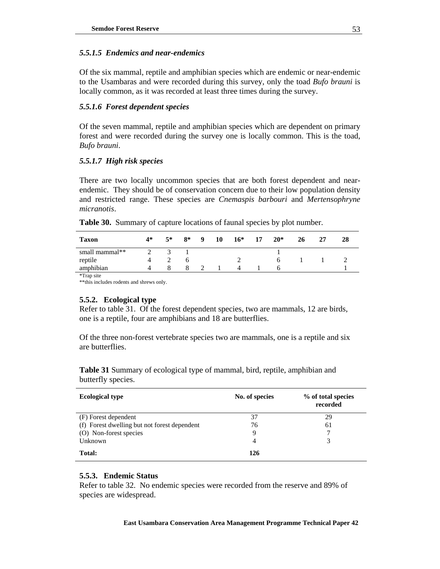### *5.5.1.5 Endemics and near-endemics*

Of the six mammal, reptile and amphibian species which are endemic or near-endemic to the Usambaras and were recorded during this survey, only the toad *Bufo brauni* is locally common, as it was recorded at least three times during the survey.

### *5.5.1.6 Forest dependent species*

Of the seven mammal, reptile and amphibian species which are dependent on primary forest and were recorded during the survey one is locally common. This is the toad, *Bufo brauni*.

### *5.5.1.7 High risk species*

There are two locally uncommon species that are both forest dependent and nearendemic. They should be of conservation concern due to their low population density and restricted range. These species are *Cnemaspis barbouri* and *Mertensophryne micranotis*.

| <b>Taxon</b>   | $4*$ | $5*$ | $8*$ | $\overline{\mathbf{9}}$ | -10 | $16*$ | 17 | $20*$ | 26 | 27 | 28 |
|----------------|------|------|------|-------------------------|-----|-------|----|-------|----|----|----|
| small mammal** |      |      |      |                         |     |       |    |       |    |    |    |
| reptile        |      |      |      |                         |     |       |    |       |    |    |    |
| amphibian      |      |      |      |                         |     |       |    |       |    |    |    |

**Table 30.** Summary of capture locations of faunal species by plot number.

\*Trap site

\*\*this includes rodents and shrews only.

### **5.5.2. Ecological type**

Refer to table 31. Of the forest dependent species, two are mammals, 12 are birds, one is a reptile, four are amphibians and 18 are butterflies.

Of the three non-forest vertebrate species two are mammals, one is a reptile and six are butterflies.

**Table 31** Summary of ecological type of mammal, bird, reptile, amphibian and butterfly species.

| <b>Ecological type</b>                       | No. of species | % of total species<br>recorded |
|----------------------------------------------|----------------|--------------------------------|
| (F) Forest dependent                         | 37             | 29                             |
| (f) Forest dwelling but not forest dependent | 76             | 61                             |
| (O) Non-forest species                       | 9              |                                |
| Unknown                                      | 4              | 3                              |
| Total:                                       | 126            |                                |

### **5.5.3. Endemic Status**

Refer to table 32. No endemic species were recorded from the reserve and 89% of species are widespread.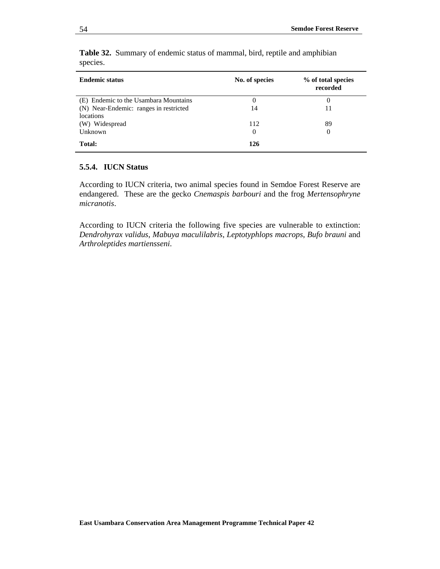| <b>Endemic status</b>                  | No. of species | % of total species<br>recorded |
|----------------------------------------|----------------|--------------------------------|
| (E) Endemic to the Usambara Mountains  | 0              | 0                              |
| (N) Near-Endemic: ranges in restricted | 14             | 11                             |
| <i>locations</i>                       |                |                                |
| (W) Widespread                         | 112            | 89                             |
| Unknown                                | 0              | 0                              |
| Total:                                 | 126            |                                |

**Table 32.** Summary of endemic status of mammal, bird, reptile and amphibian species.

### **5.5.4. IUCN Status**

According to IUCN criteria, two animal species found in Semdoe Forest Reserve are endangered. These are the gecko *Cnemaspis barbouri* and the frog *Mertensophryne micranotis*.

According to IUCN criteria the following five species are vulnerable to extinction: *Dendrohyrax validus*, *Mabuya maculilabris*, *Leptotyphlops macrops*, *Bufo brauni* and *Arthroleptides martiensseni*.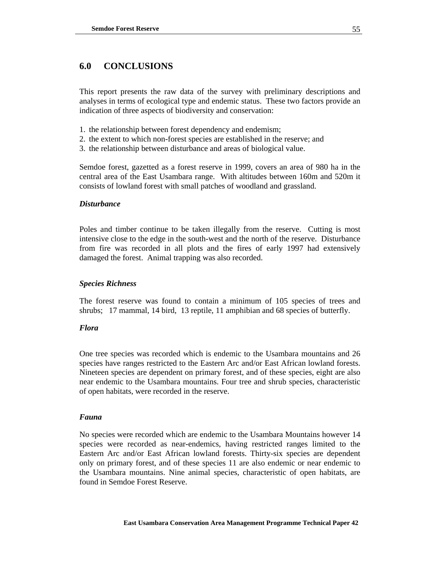# **6.0 CONCLUSIONS**

This report presents the raw data of the survey with preliminary descriptions and analyses in terms of ecological type and endemic status. These two factors provide an indication of three aspects of biodiversity and conservation:

- 1. the relationship between forest dependency and endemism;
- 2. the extent to which non-forest species are established in the reserve; and
- 3. the relationship between disturbance and areas of biological value.

Semdoe forest, gazetted as a forest reserve in 1999, covers an area of 980 ha in the central area of the East Usambara range. With altitudes between 160m and 520m it consists of lowland forest with small patches of woodland and grassland.

### *Disturbance*

Poles and timber continue to be taken illegally from the reserve. Cutting is most intensive close to the edge in the south-west and the north of the reserve. Disturbance from fire was recorded in all plots and the fires of early 1997 had extensively damaged the forest. Animal trapping was also recorded.

### *Species Richness*

The forest reserve was found to contain a minimum of 105 species of trees and shrubs; 17 mammal, 14 bird, 13 reptile, 11 amphibian and 68 species of butterfly.

### *Flora*

One tree species was recorded which is endemic to the Usambara mountains and 26 species have ranges restricted to the Eastern Arc and/or East African lowland forests. Nineteen species are dependent on primary forest, and of these species, eight are also near endemic to the Usambara mountains. Four tree and shrub species, characteristic of open habitats, were recorded in the reserve.

### *Fauna*

No species were recorded which are endemic to the Usambara Mountains however 14 species were recorded as near-endemics, having restricted ranges limited to the Eastern Arc and/or East African lowland forests. Thirty-six species are dependent only on primary forest, and of these species 11 are also endemic or near endemic to the Usambara mountains. Nine animal species, characteristic of open habitats, are found in Semdoe Forest Reserve.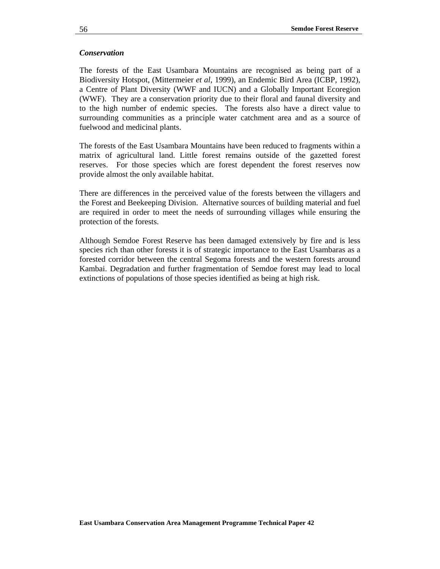### *Conservation*

The forests of the East Usambara Mountains are recognised as being part of a Biodiversity Hotspot, (Mittermeier *et al*, 1999), an Endemic Bird Area (ICBP, 1992), a Centre of Plant Diversity (WWF and IUCN) and a Globally Important Ecoregion (WWF). They are a conservation priority due to their floral and faunal diversity and to the high number of endemic species. The forests also have a direct value to surrounding communities as a principle water catchment area and as a source of fuelwood and medicinal plants.

The forests of the East Usambara Mountains have been reduced to fragments within a matrix of agricultural land. Little forest remains outside of the gazetted forest reserves. For those species which are forest dependent the forest reserves now provide almost the only available habitat.

There are differences in the perceived value of the forests between the villagers and the Forest and Beekeeping Division. Alternative sources of building material and fuel are required in order to meet the needs of surrounding villages while ensuring the protection of the forests.

Although Semdoe Forest Reserve has been damaged extensively by fire and is less species rich than other forests it is of strategic importance to the East Usambaras as a forested corridor between the central Segoma forests and the western forests around Kambai. Degradation and further fragmentation of Semdoe forest may lead to local extinctions of populations of those species identified as being at high risk.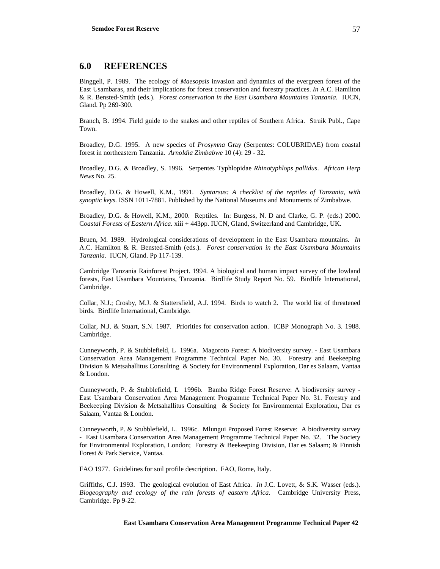### **6.0 REFERENCES**

Binggeli, P. 1989. The ecology of *Maesopsis* invasion and dynamics of the evergreen forest of the East Usambaras, and their implications for forest conservation and forestry practices. *In* A.C. Hamilton & R. Bensted-Smith (eds.). *Forest conservation in the East Usambara Mountains Tanzania.* IUCN, Gland. Pp 269-300.

Branch, B. 1994. Field guide to the snakes and other reptiles of Southern Africa. Struik Publ., Cape Town.

Broadley, D.G. 1995. A new species of *Prosymna* Gray (Serpentes: COLUBRIDAE) from coastal forest in northeastern Tanzania. *Arnoldia Zimbabwe* 10 (4): 29 - 32.

Broadley, D.G. & Broadley, S. 1996. Serpentes Typhlopidae *Rhinotyphlops pallidus*. *African Herp News* No. 25.

Broadley, D.G. & Howell, K.M., 1991. *Syntarsus: A checklist of the reptiles of Tanzania, with synoptic keys.* ISSN 1011-7881. Published by the National Museums and Monuments of Zimbabwe.

Broadley, D.G. & Howell, K.M., 2000. Reptiles. In: Burgess, N. D and Clarke, G. P. (eds.) 2000. C*oastal Forests of Eastern Africa.* xiii + 443pp. IUCN, Gland, Switzerland and Cambridge, UK.

Bruen, M. 1989. Hydrological considerations of development in the East Usambara mountains. *In* A.C. Hamilton & R. Bensted-Smith (eds.). *Forest conservation in the East Usambara Mountains Tanzania.* IUCN, Gland. Pp 117-139.

Cambridge Tanzania Rainforest Project. 1994. A biological and human impact survey of the lowland forests, East Usambara Mountains, Tanzania. Birdlife Study Report No. 59. Birdlife International, Cambridge.

Collar, N.J.; Crosby, M.J. & Stattersfield, A.J. 1994. Birds to watch 2. The world list of threatened birds. Birdlife International, Cambridge.

Collar, N.J. & Stuart, S.N. 1987. Priorities for conservation action. ICBP Monograph No. 3. 1988. Cambridge.

Cunneyworth, P. & Stubblefield, L 1996a. Magoroto Forest: A biodiversity survey. - East Usambara Conservation Area Management Programme Technical Paper No. 30. Forestry and Beekeeping Division & Metsahallitus Consulting & Society for Environmental Exploration, Dar es Salaam, Vantaa & London.

Cunneyworth, P. & Stubblefield, L 1996b. Bamba Ridge Forest Reserve: A biodiversity survey - East Usambara Conservation Area Management Programme Technical Paper No. 31. Forestry and Beekeeping Division & Metsahallitus Consulting & Society for Environmental Exploration, Dar es Salaam, Vantaa & London.

Cunneyworth, P. & Stubblefield, L. 1996c. Mlungui Proposed Forest Reserve: A biodiversity survey - East Usambara Conservation Area Management Programme Technical Paper No. 32. The Society for Environmental Exploration, London; Forestry & Beekeeping Division, Dar es Salaam; & Finnish Forest & Park Service, Vantaa.

FAO 1977. Guidelines for soil profile description. FAO, Rome, Italy.

Griffiths, C.J. 1993. The geological evolution of East Africa. *In* J.C. Lovett, & S.K. Wasser (eds.). *Biogeography and ecology of the rain forests of eastern Africa.* Cambridge University Press, Cambridge. Pp 9-22.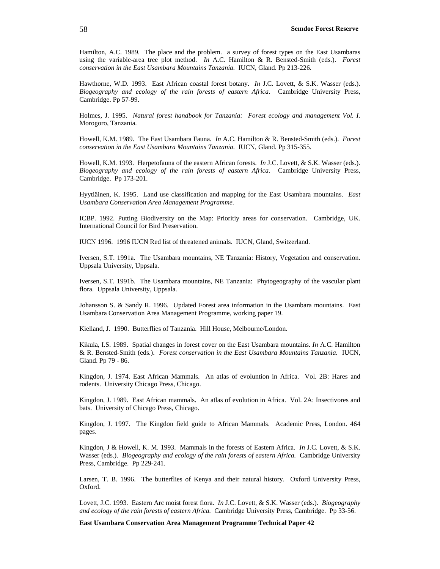Hamilton, A.C. 1989. The place and the problem. a survey of forest types on the East Usambaras using the variable-area tree plot method. *In* A.C. Hamilton & R. Bensted-Smith (eds.). *Forest conservation in the East Usambara Mountains Tanzania.* IUCN, Gland. Pp 213-226.

Hawthorne, W.D. 1993. East African coastal forest botany. *In* J.C. Lovett, & S.K. Wasser (eds.). *Biogeography and ecology of the rain forests of eastern Africa.* Cambridge University Press, Cambridge. Pp 57-99.

Holmes, J. 1995. *Natural forest handbook for Tanzania: Forest ecology and management Vol. I.* Morogoro, Tanzania.

Howell, K.M. 1989. The East Usambara Fauna*. In* A.C. Hamilton & R. Bensted-Smith (eds.). *Forest conservation in the East Usambara Mountains Tanzania.* IUCN, Gland. Pp 315-355.

Howell, K.M. 1993. Herpetofauna of the eastern African forests. *In* J.C. Lovett, & S.K. Wasser (eds.). *Biogeography and ecology of the rain forests of eastern Africa.* Cambridge University Press, Cambridge. Pp 173-201.

Hyytiäinen, K. 1995. Land use classification and mapping for the East Usambara mountains. *East Usambara Conservation Area Management Programme.* 

ICBP. 1992. Putting Biodiversity on the Map: Prioritiy areas for conservation. Cambridge, UK. International Council for Bird Preservation.

IUCN 1996. 1996 IUCN Red list of threatened animals. IUCN, Gland, Switzerland.

Iversen, S.T. 1991a. The Usambara mountains, NE Tanzania: History, Vegetation and conservation. Uppsala University, Uppsala.

Iversen, S.T. 1991b. The Usambara mountains, NE Tanzania: Phytogeography of the vascular plant flora. Uppsala University, Uppsala.

Johansson S. & Sandy R. 1996. Updated Forest area information in the Usambara mountains. East Usambara Conservation Area Management Programme, working paper 19.

Kielland, J. 1990. Butterflies of Tanzania. Hill House, Melbourne/London.

Kikula, I.S. 1989. Spatial changes in forest cover on the East Usambara mountains. *In* A.C. Hamilton & R. Bensted-Smith (eds.). *Forest conservation in the East Usambara Mountains Tanzania.* IUCN, Gland. Pp 79 - 86.

Kingdon, J. 1974. East African Mammals. An atlas of evoluntion in Africa. Vol. 2B: Hares and rodents. University Chicago Press, Chicago.

Kingdon, J. 1989. East African mammals. An atlas of evolution in Africa. Vol. 2A: Insectivores and bats. University of Chicago Press, Chicago.

Kingdon, J. 1997. The Kingdon field guide to African Mammals. Academic Press, London. 464 pages.

Kingdon, J & Howell, K. M. 1993. Mammals in the forests of Eastern Africa. *In* J.C. Lovett, & S.K. Wasser (eds.). *Biogeography and ecology of the rain forests of eastern Africa.* Cambridge University Press, Cambridge. Pp 229-241.

Larsen, T. B. 1996. The butterflies of Kenya and their natural history. Oxford University Press, Oxford.

Lovett, J.C. 1993. Eastern Arc moist forest flora. *In* J.C. Lovett, & S.K. Wasser (eds.). *Biogeography and ecology of the rain forests of eastern Africa.* Cambridge University Press, Cambridge. Pp 33-56.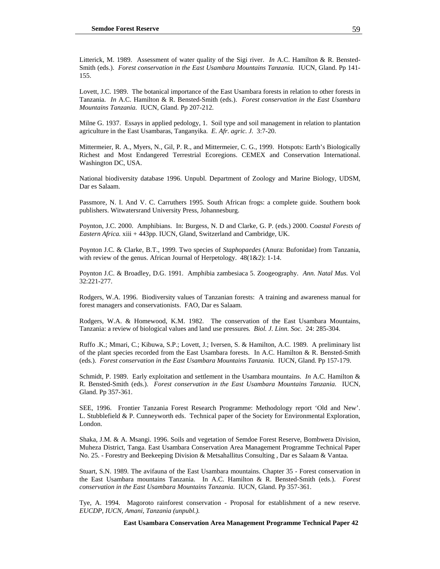Litterick, M. 1989. Assessment of water quality of the Sigi river. *In* A.C. Hamilton & R. Bensted-Smith (eds.). *Forest conservation in the East Usambara Mountains Tanzania.* IUCN, Gland. Pp 141- 155.

Lovett, J.C. 1989. The botanical importance of the East Usambara forests in relation to other forests in Tanzania. *In* A.C. Hamilton & R. Bensted-Smith (eds.). *Forest conservation in the East Usambara Mountains Tanzania.* IUCN, Gland. Pp 207-212.

Milne G. 1937. Essays in applied pedology, 1. Soil type and soil management in relation to plantation agriculture in the East Usambaras, Tanganyika. *E. Afr. agric. J.* 3:7-20.

Mittermeier, R. A., Myers, N., Gil, P. R., and Mittermeier, C. G., 1999. Hotspots: Earth's Biologically Richest and Most Endangered Terrestrial Ecoregions. CEMEX and Conservation International. Washington DC, USA.

National biodiversity database 1996. Unpubl. Department of Zoology and Marine Biology, UDSM, Dar es Salaam.

Passmore, N. I. And V. C. Carruthers 1995. South African frogs: a complete guide. Southern book publishers. Witwatersrand University Press, Johannesburg.

Poynton, J.C. 2000. Amphibians. In: Burgess, N. D and Clarke, G. P. (eds.) 2000. C*oastal Forests of Eastern Africa.* xiii + 443pp. IUCN, Gland, Switzerland and Cambridge, UK.

Poynton J.C. & Clarke, B.T., 1999. Two species of *Staphopaedes* (Anura: Bufonidae) from Tanzania, with review of the genus. African Journal of Herpetology. 48(1&2): 1-14.

Poynton J.C. & Broadley, D.G. 1991. Amphibia zambesiaca 5. Zoogeography. *Ann. Natal Mus.* Vol 32:221-277.

Rodgers, W.A. 1996. Biodiversity values of Tanzanian forests: A training and awareness manual for forest managers and conservationists. FAO, Dar es Salaam.

Rodgers, W.A. & Homewood, K.M. 1982. The conservation of the East Usambara Mountains, Tanzania: a review of biological values and land use pressures*. Biol. J. Linn. Soc.* 24: 285-304.

Ruffo .K.; Mmari, C.; Kibuwa, S.P.; Lovett, J.; Iversen, S. & Hamilton, A.C. 1989. A preliminary list of the plant species recorded from the East Usambara forests. In A.C. Hamilton & R. Bensted-Smith (eds.). *Forest conservation in the East Usambara Mountains Tanzania.* IUCN, Gland. Pp 157-179.

Schmidt, P. 1989. Early exploitation and settlement in the Usambara mountains. *In* A.C. Hamilton & R. Bensted-Smith (eds.). *Forest conservation in the East Usambara Mountains Tanzania.* IUCN, Gland. Pp 357-361.

SEE, 1996. Frontier Tanzania Forest Research Programme: Methodology report 'Old and New'. L. Stubblefield & P. Cunneyworth eds. Technical paper of the Society for Environmental Exploration, London.

Shaka, J.M. & A. Msangi. 1996. Soils and vegetation of Semdoe Forest Reserve, Bombwera Division, Muheza District, Tanga. East Usambara Conservation Area Management Programme Technical Paper No. 25. - Forestry and Beekeeping Division & Metsahallitus Consulting , Dar es Salaam & Vantaa.

Stuart, S.N. 1989. The avifauna of the East Usambara mountains. Chapter 35 - Forest conservation in the East Usambara mountains Tanzania. In A.C. Hamilton & R. Bensted-Smith (eds.). *Forest conservation in the East Usambara Mountains Tanzania.* IUCN, Gland. Pp 357-361.

Tye, A. 1994. Magoroto rainforest conservation - Proposal for establishment of a new reserve. *EUCDP, IUCN, Amani, Tanzania (unpubl.).*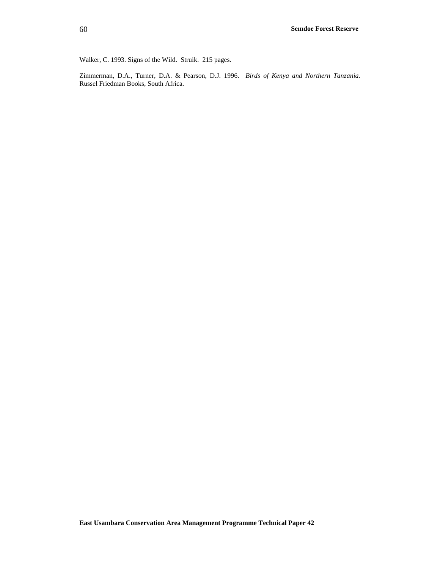Walker, C. 1993. Signs of the Wild. Struik. 215 pages.

Zimmerman, D.A., Turner, D.A. & Pearson, D.J. 1996. *Birds of Kenya and Northern Tanzania.* Russel Friedman Books, South Africa.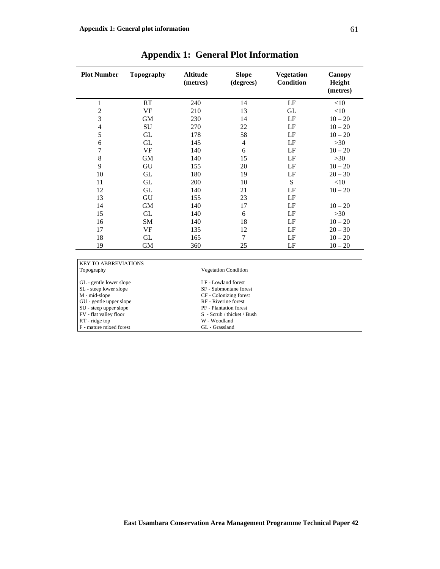| <b>Plot Number</b> | <b>Topography</b> | <b>Altitude</b><br>(metres) | <b>Slope</b><br>(degrees) | <b>Vegetation</b><br><b>Condition</b> | Canopy<br>Height<br>(metres) |
|--------------------|-------------------|-----------------------------|---------------------------|---------------------------------------|------------------------------|
| $\mathbf{1}$       | RT                | 240                         | 14                        | LF                                    | <10                          |
| $\overline{2}$     | <b>VF</b>         | 210                         | 13                        | GL                                    | $<$ 10                       |
| 3                  | <b>GM</b>         | 230                         | 14                        | LF                                    | $10 - 20$                    |
| 4                  | SU                | 270                         | 22                        | LF                                    | $10 - 20$                    |
| 5                  | GL                | 178                         | 58                        | LF                                    | $10 - 20$                    |
| 6                  | GL                | 145                         | $\overline{4}$            | LF                                    | $>30$                        |
| $\overline{7}$     | <b>VF</b>         | 140                         | 6                         | LF                                    | $10 - 20$                    |
| $\,$ 8 $\,$        | <b>GM</b>         | 140                         | 15                        | LF                                    | $>30$                        |
| 9                  | GU                | 155                         | 20                        | LF                                    | $10 - 20$                    |
| 10                 | GL                | 180                         | 19                        | LF                                    | $20 - 30$                    |
| 11                 | GL                | 200                         | 10                        | S                                     | <10                          |
| 12                 | GL                | 140                         | 21                        | LF                                    | $10 - 20$                    |
| 13                 | GU                | 155                         | 23                        | LF                                    |                              |
| 14                 | <b>GM</b>         | 140                         | 17                        | LF                                    | $10 - 20$                    |
| 15                 | GL                | 140                         | 6                         | LF                                    | $>30$                        |
| 16                 | SM                | 140                         | 18                        | LF                                    | $10 - 20$                    |
| 17                 | VF                | 135                         | 12                        | LF                                    | $20 - 30$                    |
| 18                 | GL                | 165                         | 7                         | LF                                    | $10 - 20$                    |
| 19                 | <b>GM</b>         | 360                         | 25                        | LF                                    | $10 - 20$                    |

# **Appendix 1: General Plot Information**

| <b>KEY TO ABBREVIATIONS</b> |                             |  |
|-----------------------------|-----------------------------|--|
| Topography                  | <b>Vegetation Condition</b> |  |
| GL - gentle lower slope     | LF - Lowland forest         |  |
| SL - steep lower slope      | SF - Submontane forest      |  |
| M - mid-slope               | CF - Colonizing forest      |  |
| GU - gentle upper slope     | RF - Riverine forest        |  |
| SU - steep upper slope      | PF - Plantation forest      |  |
| FV - flat valley floor      | S - Scrub / thicket / Bush  |  |
| RT - ridge top              | W - Woodland                |  |
| F - mature mixed forest     | GL - Grassland              |  |
|                             |                             |  |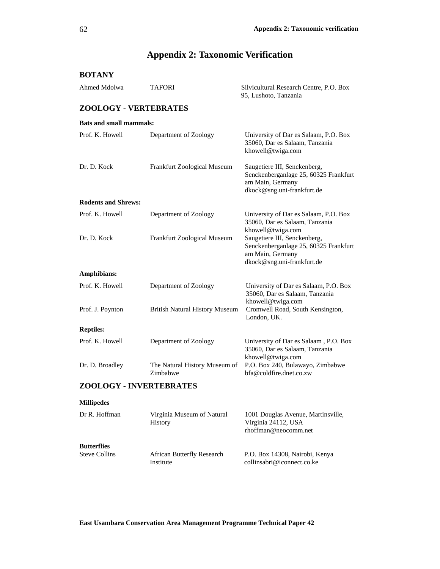# **Appendix 2: Taxonomic Verification**

| <b>BOTANY</b>                              |                                           |                                                                                                                         |  |  |
|--------------------------------------------|-------------------------------------------|-------------------------------------------------------------------------------------------------------------------------|--|--|
| Ahmed Mdolwa                               | TAFORI                                    | Silvicultural Research Centre, P.O. Box<br>95, Lushoto, Tanzania                                                        |  |  |
| <b>ZOOLOGY - VERTEBRATES</b>               |                                           |                                                                                                                         |  |  |
| <b>Bats and small mammals:</b>             |                                           |                                                                                                                         |  |  |
| Prof. K. Howell                            | Department of Zoology                     | University of Dar es Salaam, P.O. Box<br>35060, Dar es Salaam, Tanzania<br>khowell@twiga.com                            |  |  |
| Dr. D. Kock                                | Frankfurt Zoological Museum               | Saugetiere III, Senckenberg,<br>Senckenberganlage 25, 60325 Frankfurt<br>am Main, Germany<br>dkock@sng.uni-frankfurt.de |  |  |
| <b>Rodents and Shrews:</b>                 |                                           |                                                                                                                         |  |  |
| Prof. K. Howell                            | Department of Zoology                     | University of Dar es Salaam, P.O. Box<br>35060, Dar es Salaam, Tanzania<br>khowell@twiga.com                            |  |  |
| Dr. D. Kock                                | Frankfurt Zoological Museum               | Saugetiere III, Senckenberg,<br>Senckenberganlage 25, 60325 Frankfurt<br>am Main, Germany<br>dkock@sng.uni-frankfurt.de |  |  |
| Amphibians:                                |                                           |                                                                                                                         |  |  |
| Prof. K. Howell                            | Department of Zoology                     | University of Dar es Salaam, P.O. Box<br>35060, Dar es Salaam, Tanzania<br>khowell@twiga.com                            |  |  |
| Prof. J. Poynton                           | <b>British Natural History Museum</b>     | Cromwell Road, South Kensington,<br>London, UK.                                                                         |  |  |
| <b>Reptiles:</b>                           |                                           |                                                                                                                         |  |  |
| Prof. K. Howell                            | Department of Zoology                     | University of Dar es Salaam, P.O. Box<br>35060, Dar es Salaam, Tanzania<br>khowell@twiga.com                            |  |  |
| Dr. D. Broadley                            | The Natural History Museum of<br>Zimbabwe | P.O. Box 240, Bulawayo, Zimbabwe<br>bfa@collfire.dnet.co.zw                                                             |  |  |
| ZOOLOGY - INVERTEBRATES                    |                                           |                                                                                                                         |  |  |
| <b>Millipedes</b>                          |                                           |                                                                                                                         |  |  |
| Dr R. Hoffman                              | Virginia Museum of Natural<br>History     | 1001 Douglas Avenue, Martinsville,<br>Virginia 24112, USA<br>rhoffman@neocomm.net                                       |  |  |
| <b>Butterflies</b><br><b>Steve Collins</b> | African Butterfly Research<br>Institute   | P.O. Box 14308, Nairobi, Kenya<br>collinsabri@iconnect.co.ke                                                            |  |  |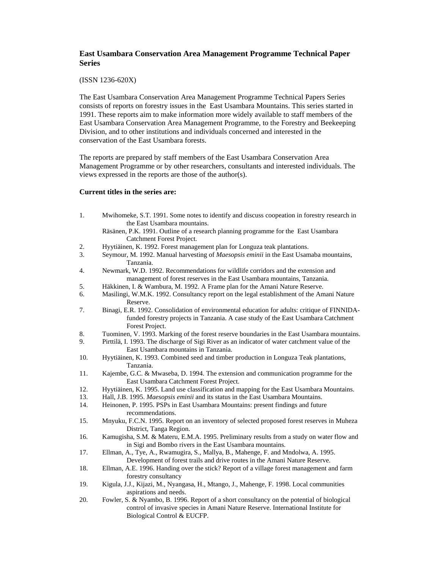## **East Usambara Conservation Area Management Programme Technical Paper Series**

## (ISSN 1236-620X)

The East Usambara Conservation Area Management Programme Technical Papers Series consists of reports on forestry issues in the East Usambara Mountains. This series started in 1991. These reports aim to make information more widely available to staff members of the East Usambara Conservation Area Management Programme, to the Forestry and Beekeeping Division, and to other institutions and individuals concerned and interested in the conservation of the East Usambara forests.

The reports are prepared by staff members of the East Usambara Conservation Area Management Programme or by other researchers, consultants and interested individuals. The views expressed in the reports are those of the author(s).

## **Current titles in the series are:**

1. Mwihomeke, S.T. 1991. Some notes to identify and discuss coopeation in forestry research in the East Usambara mountains.

## Räsänen, P.K. 1991. Outline of a research planning programme for the East Usambara Catchment Forest Project.

- 2. Hyytiäinen, K. 1992. Forest management plan for Longuza teak plantations.
- 3. Seymour, M. 1992. Manual harvesting of *Maesopsis eminii* in the East Usamaba mountains, Tanzania.
- 4. Newmark, W.D. 1992. Recommendations for wildlife corridors and the extension and management of forest reserves in the East Usambara mountains, Tanzania.
- 5. Häkkinen, I. & Wambura, M. 1992. A Frame plan for the Amani Nature Reserve.
- 6. Masilingi, W.M.K. 1992. Consultancy report on the legal establishment of the Amani Nature Reserve.
- 7. Binagi, E.R. 1992. Consolidation of environmental education for adults: critique of FINNIDAfunded forestry projects in Tanzania. A case study of the East Usambara Catchment Forest Project.
- 8. Tuominen, V. 1993. Marking of the forest reserve boundaries in the East Usambara mountains.
- 9. Pirttilä, I. 1993. The discharge of Sigi River as an indicator of water catchment value of the East Usambara mountains in Tanzania.
- 10. Hyytiäinen, K. 1993. Combined seed and timber production in Longuza Teak plantations, Tanzania.
- 11. Kajembe, G.C. & Mwaseba, D. 1994. The extension and communication programme for the East Usambara Catchment Forest Project.
- 12. Hyytiäinen, K. 1995. Land use classification and mapping for the East Usambara Mountains.
- 13. Hall, J.B. 1995. *Maesopsis eminii* and its status in the East Usambara Mountains.
- 14. Heinonen, P. 1995. PSPs in East Usambara Mountains: present findings and future recommendations.
- 15. Mnyuku, F.C.N. 1995. Report on an inventory of selected proposed forest reserves in Muheza District, Tanga Region.
- 16. Kamugisha, S.M. & Materu, E.M.A. 1995. Preliminary results from a study on water flow and in Sigi and Bombo rivers in the East Usambara mountains.
- 17. Ellman, A., Tye, A., Rwamugira, S., Mallya, B., Mahenge, F. and Mndolwa, A. 1995. Development of forest trails and drive routes in the Amani Nature Reserve.
- 18. Ellman, A.E. 1996. Handing over the stick? Report of a village forest management and farm forestry consultancy
- 19. Kigula, J.J., Kijazi, M., Nyangasa, H., Mtango, J., Mahenge, F. 1998. Local communities aspirations and needs.
- 20. Fowler, S. & Nyambo, B. 1996. Report of a short consultancy on the potential of biological control of invasive species in Amani Nature Reserve. International Institute for Biological Control & EUCFP.